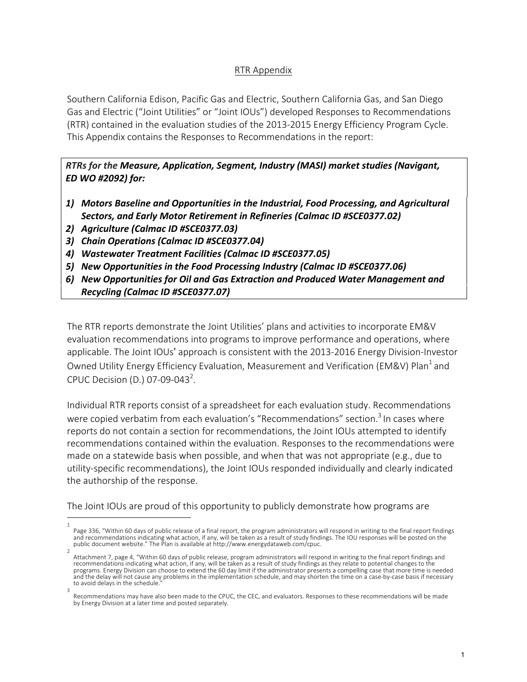# RTR Appendix

Southern California Edison, Pacific Gas and Electric, Southern California Gas, and San Diego Gas and Electric ("Joint Utilities" or "Joint IOUs") developed Responses to Recommendations (RTR) contained in the evaluation studies of the 2013-2015 Energy Efficiency Program Cycle. This Appendix contains the Responses to Recommendations in the report:

*RTRs for the Measure, Application, Segment, Industry (MASI) market studies (Navigant, ED WO #2092) for:* 

- 1) Motors Baseline and Opportunities in the Industrial, Food Processing, and Agricultural Sectors, and Early Motor Retirement in Refineries (Calmac ID #SCE0377.02)
- *2) Agriculture (Calmac ID #SCE0377.03)*
- *3) Chain Operations (Calmac ID #SCE0377.04)*
- *4) Wastewater Treatment Facilities (Calmac ID #SCE0377.05)*
- *5) New Opportunities in the Food Processing Industry (Calmac ID #SCE0377.06)*
- 6) New Opportunities for Oil and Gas Extraction and Produced Water Management and *Recycling (Calmac ID #SCE0377.07)*

The RTR reports demonstrate the Joint Utilities' plans and activities to incorporate EM&V evaluation recommendations into programs to improve performance and operations, where applicable. The Joint IOUs' approach is consistent with the 2013-2016 Energy Division-Investor Owned Utility Energy Efficiency Evaluation, Measurement and Verification (EM&V) Plan<sup>1</sup> and CPUC Decision (D.) 07-09-043<sup>2</sup>.

Individual RTR reports consist of a spreadsheet for each evaluation study. Recommendations were copied verbatim from each evaluation's "Recommendations" section.<sup>3</sup> In cases where reports do not contain a section for recommendations, the Joint IOUs attempted to identify recommendations contained within the evaluation. Responses to the recommendations were made on a statewide basis when possible, and when that was not appropriate (e.g., due to utility-specific recommendations), the Joint IOUs responded individually and clearly indicated the authorship of the response.

The Joint IOUs are proud of this opportunity to publicly demonstrate how programs are

<sup>1</sup> Page 336, "Within 60 days of public release of a final report, the program administrators will respond in writing to the final report findings and recommendations indicating what action, if any, will be taken as a result of study findings. The IOU responses will be posted on the<br>public document website." The Plan is available at http://www.energydataweb.com/cpuc.  $\overline{2}$ 

Attachment 7, page 4, "Within 60 days of public release, program administrators will respond in writing to the final report findings and recommendations indicating what action, if any, will be taken as a result of study findings as they relate to potential changes to the programs. Energy Division can choose to extend the 60 day limit if the administrator presents a compelling case that more time is needed<br>and the delay will not cause any problems in the implementation schedule, and may sho to avoid delays in the schedule. 3

Recommendations may have also been made to the CPUC, the CEC, and evaluators. Responses to these recommendations will be made by Energy Division at a later time and posted separately.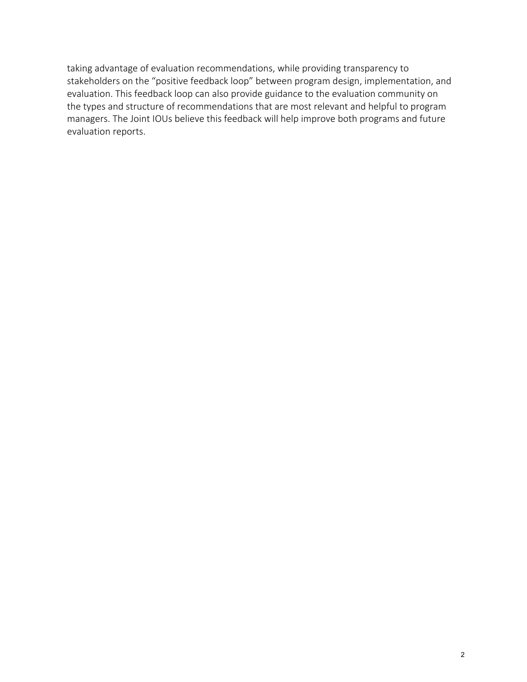taking advantage of evaluation recommendations, while providing transparency to stakeholders on the "positive feedback loop" between program design, implementation, and evaluation. This feedback loop can also provide guidance to the evaluation community on the types and structure of recommendations that are most relevant and helpful to program managers. The Joint IOUs believe this feedback will help improve both programs and future evaluation reports.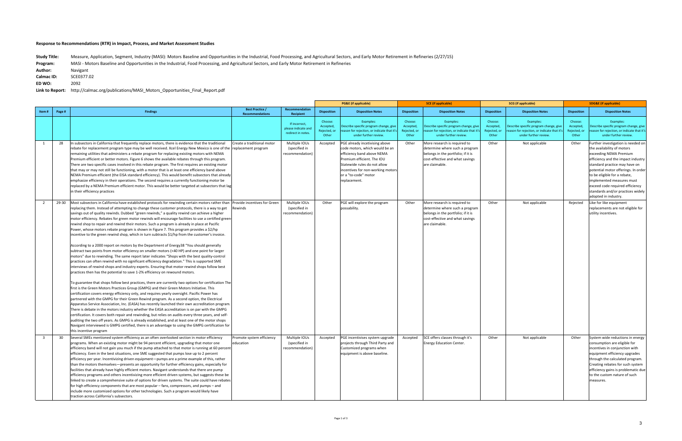**Study Title: Program:**  Measure, Application, Segment, Industry (MASI): Motors Baseline and Opportunities in the Industrial, Food Processing, and Agricultural Sectors, and Early Motor Retirement in Refineries (2/27/15) MASI - Motors Baseline and Opportunities in the Industrial, Food Processing, and Agricultural Sectors, and Early Motor Retirement in Refineries

Author: Navigant

|                         |        |                                                                                                                                                                                                                                                                                                                                                                                                                                                                                                                                                                                                                                                                                                                                                                                                                                                                                                                                                                                                                                                                                                                                                                                                                                                                                                                                                                                                                                                                                                                                                                                                                                                                                                                                                                                                                                                                                                                                                                                                                                                                                                                                                                                                                                                 |                                                  |                                                            |                                               | <b>PG&amp;E</b> (if applicable)                                                                                                                                                                                                           | <b>SCE</b> (if applicable)                    |                                                                                                                                                           | <b>SCG</b> (if applicable)                   |                                                                                                                           |                                               | <b>SDG&amp;E</b> (if applicable)                                                                                                                                                                                                                                                                                                                                      |
|-------------------------|--------|-------------------------------------------------------------------------------------------------------------------------------------------------------------------------------------------------------------------------------------------------------------------------------------------------------------------------------------------------------------------------------------------------------------------------------------------------------------------------------------------------------------------------------------------------------------------------------------------------------------------------------------------------------------------------------------------------------------------------------------------------------------------------------------------------------------------------------------------------------------------------------------------------------------------------------------------------------------------------------------------------------------------------------------------------------------------------------------------------------------------------------------------------------------------------------------------------------------------------------------------------------------------------------------------------------------------------------------------------------------------------------------------------------------------------------------------------------------------------------------------------------------------------------------------------------------------------------------------------------------------------------------------------------------------------------------------------------------------------------------------------------------------------------------------------------------------------------------------------------------------------------------------------------------------------------------------------------------------------------------------------------------------------------------------------------------------------------------------------------------------------------------------------------------------------------------------------------------------------------------------------|--------------------------------------------------|------------------------------------------------------------|-----------------------------------------------|-------------------------------------------------------------------------------------------------------------------------------------------------------------------------------------------------------------------------------------------|-----------------------------------------------|-----------------------------------------------------------------------------------------------------------------------------------------------------------|----------------------------------------------|---------------------------------------------------------------------------------------------------------------------------|-----------------------------------------------|-----------------------------------------------------------------------------------------------------------------------------------------------------------------------------------------------------------------------------------------------------------------------------------------------------------------------------------------------------------------------|
| Item#                   | Page # | <b>Findings</b>                                                                                                                                                                                                                                                                                                                                                                                                                                                                                                                                                                                                                                                                                                                                                                                                                                                                                                                                                                                                                                                                                                                                                                                                                                                                                                                                                                                                                                                                                                                                                                                                                                                                                                                                                                                                                                                                                                                                                                                                                                                                                                                                                                                                                                 | <b>Best Practice /</b><br><b>Recommendations</b> | Recommendation<br>Recipient                                | <b>Disposition</b>                            | <b>Disposition Notes</b>                                                                                                                                                                                                                  | <b>Disposition</b>                            | <b>Disposition Notes</b>                                                                                                                                  | <b>Disposition</b>                           | <b>Disposition Notes</b>                                                                                                  | <b>Disposition</b>                            | <b>Disposition Notes</b>                                                                                                                                                                                                                                                                                                                                              |
|                         |        |                                                                                                                                                                                                                                                                                                                                                                                                                                                                                                                                                                                                                                                                                                                                                                                                                                                                                                                                                                                                                                                                                                                                                                                                                                                                                                                                                                                                                                                                                                                                                                                                                                                                                                                                                                                                                                                                                                                                                                                                                                                                                                                                                                                                                                                 |                                                  | If incorrect,<br>please indicate and<br>redirect in notes. | Choose:<br>Accepted,<br>Rejected, or<br>Other | Examples:<br>Describe specific program change, give<br>eason for rejection, or indicate that it'<br>under further review.                                                                                                                 | Choose:<br>Accepted,<br>Rejected, or<br>Other | Examples:<br>Describe specific program change, give<br>eason for rejection, or indicate that it<br>under further review.                                  | Choose:<br>Accepted<br>Rejected, or<br>Other | Examples:<br>Describe specific program change, give<br>eason for rejection, or indicate that it'<br>under further review. | Choose:<br>Accepted,<br>Rejected, or<br>Other | Examples:<br>Describe specific program change, give<br>reason for rejection, or indicate that it's<br>under further review.                                                                                                                                                                                                                                           |
| 1                       | 28     | In subsectors in California that frequently replace motors, there is evidence that the traditional<br>rebate for replacement program type may be well received. Xcel Energy New Mexico is one of the rreplacement program<br>remaining utilities that administers a rebate program for replacing existing motors with NEMA<br>Premium efficient or better motors. Figure 6 shows the available rebates through this program.<br>There are two specific cases involved in this rebate program. The first requires an existing motor<br>that may or may not still be functioning, with a motor that is at least one efficiency band above<br>NEMA Premium efficient (the EISA standard efficiency). This would benefit subsectors that already<br>emphasize efficiency in their operations. The second requires a currently functioning motor be<br>replaced by a NEMA Premium efficient motor. This would be better targeted at subsectors that lag<br>in their efficiency practices                                                                                                                                                                                                                                                                                                                                                                                                                                                                                                                                                                                                                                                                                                                                                                                                                                                                                                                                                                                                                                                                                                                                                                                                                                                             | Create a traditional motor                       | Multiple IOUs<br>(specified in<br>recommendation)          | Accepted                                      | PGE already incetivising above<br>code motors, which would be an<br>efficiency band above NEMA<br>Premium efficient. The IOU<br>Statewide rules do not allow<br>incentives for non-working motors<br>or a "to-code" motor<br>replacement. | Other                                         | More research is required to<br>determine where such a program<br>belongs in the portfolio; if it is<br>cost-effective and what savings<br>are claimable. | Other                                        | Not applicable                                                                                                            | Other                                         | Further investigation is needed on<br>the availability of motors<br>exceeding NEMA Premium<br>efficiency and the impact industry<br>standard practice may have on<br>potential motor offerings. In order<br>to be eligible for a rebate,<br>implemented measures must<br>exceed code required efficiency<br>standards and/or practices widely<br>adopted in industry. |
| 2                       | 29-30  | Most subsectors in California have established protocols for rewinding certain motors rather than<br>replacing them. Instead of attempting to change these customer protocols, there is a way to get<br>savings out of quality rewinds. Dubbed "green rewinds," a quality rewind can achieve a higher<br>motor efficiency. Rebates for green motor rewinds will encourage facilities to use a certified green<br>rewind shop to repair and rewind their motors. Such a program is already in place at Pacific<br>Power, whose motors rebate program is shown in Figure 7. This program provides a \$2/hp<br>incentive to the green rewind shop, which in turn subtracts \$1/hp from the customer's invoice.<br>According to a 2000 report on motors by the Department of Energy38 "You should generally<br>subtract two points from motor efficiency on smaller motors (<40 HP) and one point for larger<br>motors" due to rewinding. The same report later indicates "Shops with the best quality-control<br>practices can often rewind with no significant efficiency degradation." This is supported SME<br>interviews of rewind shops and industry experts. Ensuring that motor rewind shops follow best<br>practices then has the potential to save 1-2% efficiency on rewound motors.<br>To guarantee that shops follow best practices, there are currently two options for certification The<br>first is the Green Motors Practices Group (GMPG) and their Green Motors Initiative. This<br>certification covers energy efficiency only, and requires yearly oversight. Pacific Power has<br>partnered with the GMPG for their Green Rewind program. As a second option, the Electrical<br>Apparatus Service Association, Inc. (EASA) has recently launched their own accreditation program.<br>There is debate in the motors industry whether the EASA accreditation is on par with the GMPG<br>certification. It covers both repair and rewinding, but relies on audits every three years, and self-<br>auditing the two off years. As GMPG is already established, and at least one of the motor shops<br>Navigant interviewed is GMPG certified, there is an advantage to using the GMPG certification for<br>this incentive program | Provide incentives for Green<br>Rewinds          | Multiple IOUs<br>(specified in<br>recommendation)          | Other                                         | PGE will explore the program<br>possability.                                                                                                                                                                                              | Other                                         | More research is required to<br>determine where such a program<br>belongs in the portfolio; if it is<br>cost-effective and what savings<br>are claimable. | Other                                        | Not applicable                                                                                                            | Rejected                                      | Like for like equipment<br>replacements are not eligible for<br>utility incentives.                                                                                                                                                                                                                                                                                   |
| $\overline{\mathbf{3}}$ | 30     | Several SMEs mentioned system efficiency as an often overlooked section in motor efficiency<br>programs. When an existing motor might be 94 percent efficient, upgrading that motor one<br>efficiency band will not gain you much if the pump attached to that motor is running at 60 percent<br>efficiency. Even in the best situations, one SME suggested that pumps lose up to 2 percent<br>efficiency per year. Incentivizing driven equipment—pumps are a prime example of this, rather<br>than the motors themselves—presents an opportunity for further efficiency gains, especially for<br>facilities that already have highly efficient motors. Navigant understands that there are pump<br>efficiency programs and others incentivizing more efficient driven systems, but suggests these be<br>linked to create a comprehensive suite of options for driven systems. The suite could have rebates<br>for high efficiency components that are most popular – fans, compressors, and pumps – and<br>include more customized options for other technologies. Such a program would likely have<br>traction across California's subsectors.                                                                                                                                                                                                                                                                                                                                                                                                                                                                                                                                                                                                                                                                                                                                                                                                                                                                                                                                                                                                                                                                                               | romote system efficiency<br>education            | Multiple IOUs<br>(specified in<br>recommendation)          | Accepted                                      | PGE incentivises system upgrade<br>projects through Third Party and<br>Customized programs when<br>equipment is above baseline.                                                                                                           | Accepted                                      | SCE offers classes through it's<br><b>Energy Education Center.</b>                                                                                        | Other                                        | Not applicable                                                                                                            | Other                                         | System wide reductions in energy<br>consumption are eligible for<br>incentives in coniunction with<br>equipment efficiency upgrades<br>through the calculated program.<br>Creating rebates for such system<br>efficiency gains is problematic due<br>to the custom nature of such<br>measures.                                                                        |

**Calmac ID:** SCE0377.02

**ED WO:**  2092

Link to Report: http://calmac.org/publications/MASI\_Motors\_Opportunities\_Final\_Report.pdf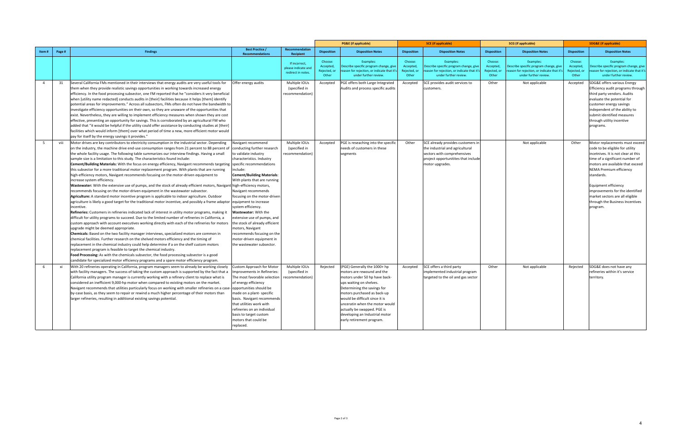|                |        |                                                                                                                                                                                                                                                                                                                                                                                                                                                                                                                                                                                                                                                                                                                                                                                                                                                                                                                                                                                                                                                                                                                                                                                                                                                                                                                                                                                                                                                                                                                                                                                                                                                                                                                                                                                                                                                                                                                                                                                                                                                                                                                           |                                                                                                                                                                                                                                                                                                                                                                                                                                                                                |                                                            |                                               | <b>PG&amp;E</b> (if applicable)                                                                                                                                                                                                                                                                                                                        | <b>SCE</b> (if applicable)                    |                                                                                                                                                               | <b>SCG</b> (if applicable)                    |                                                                                                                           |                                               | <b>SDG&amp;E</b> (if applicable)                                                                                                                                                                                                                                                                                                                                                    |
|----------------|--------|---------------------------------------------------------------------------------------------------------------------------------------------------------------------------------------------------------------------------------------------------------------------------------------------------------------------------------------------------------------------------------------------------------------------------------------------------------------------------------------------------------------------------------------------------------------------------------------------------------------------------------------------------------------------------------------------------------------------------------------------------------------------------------------------------------------------------------------------------------------------------------------------------------------------------------------------------------------------------------------------------------------------------------------------------------------------------------------------------------------------------------------------------------------------------------------------------------------------------------------------------------------------------------------------------------------------------------------------------------------------------------------------------------------------------------------------------------------------------------------------------------------------------------------------------------------------------------------------------------------------------------------------------------------------------------------------------------------------------------------------------------------------------------------------------------------------------------------------------------------------------------------------------------------------------------------------------------------------------------------------------------------------------------------------------------------------------------------------------------------------------|--------------------------------------------------------------------------------------------------------------------------------------------------------------------------------------------------------------------------------------------------------------------------------------------------------------------------------------------------------------------------------------------------------------------------------------------------------------------------------|------------------------------------------------------------|-----------------------------------------------|--------------------------------------------------------------------------------------------------------------------------------------------------------------------------------------------------------------------------------------------------------------------------------------------------------------------------------------------------------|-----------------------------------------------|---------------------------------------------------------------------------------------------------------------------------------------------------------------|-----------------------------------------------|---------------------------------------------------------------------------------------------------------------------------|-----------------------------------------------|-------------------------------------------------------------------------------------------------------------------------------------------------------------------------------------------------------------------------------------------------------------------------------------------------------------------------------------------------------------------------------------|
| ltem #         | Page # | <b>Findings</b>                                                                                                                                                                                                                                                                                                                                                                                                                                                                                                                                                                                                                                                                                                                                                                                                                                                                                                                                                                                                                                                                                                                                                                                                                                                                                                                                                                                                                                                                                                                                                                                                                                                                                                                                                                                                                                                                                                                                                                                                                                                                                                           | <b>Best Practice /</b><br><b>Recommendations</b>                                                                                                                                                                                                                                                                                                                                                                                                                               | Recommendation<br>Recipient                                | <b>Disposition</b>                            | <b>Disposition Notes</b>                                                                                                                                                                                                                                                                                                                               | <b>Disposition</b>                            | <b>Disposition Notes</b>                                                                                                                                      | <b>Disposition</b>                            | <b>Disposition Notes</b>                                                                                                  | <b>Disposition</b>                            | <b>Disposition Notes</b>                                                                                                                                                                                                                                                                                                                                                            |
|                |        |                                                                                                                                                                                                                                                                                                                                                                                                                                                                                                                                                                                                                                                                                                                                                                                                                                                                                                                                                                                                                                                                                                                                                                                                                                                                                                                                                                                                                                                                                                                                                                                                                                                                                                                                                                                                                                                                                                                                                                                                                                                                                                                           |                                                                                                                                                                                                                                                                                                                                                                                                                                                                                | If incorrect,<br>please indicate and<br>redirect in notes. | Choose:<br>Accepted,<br>Rejected, or<br>Other | Examples:<br>Describe specific program change, give<br>eason for reiection, or indicate that it's<br>under further review                                                                                                                                                                                                                              | Choose:<br>Accepted,<br>Rejected, or<br>Other | Examples:<br>Describe specific program change, give<br>eason for reiection, or indicate that it<br>under further review.                                      | Choose:<br>Accepted,<br>Rejected, or<br>Other | Examples:<br>Describe specific program change, give<br>eason for rejection, or indicate that it'<br>under further review. | Choose:<br>Accepted,<br>Rejected, or<br>Other | Examples:<br>Describe specific program change, give<br>reason for rejection, or indicate that it's<br>under further review.                                                                                                                                                                                                                                                         |
| $\overline{4}$ | 31     | Several California FMs mentioned in their interviews that energy audits are very useful tools for<br>them when they provide realistic savings opportunities in working towards increased energy<br>efficiency. In the food processing subsector, one FM reported that he "considers it very beneficial<br>when [utility name redacted] conducts audits in [their] facilities because it helps [them] identify<br>potential areas for improvements." Across all subsectors, FMs often do not have the bandwidth to<br>investigate efficiency opportunities on their own, so they are unaware of the opportunities that<br>exist. Nevertheless, they are willing to implement efficiency measures when shown they are cost<br>effective, presenting an opportunity for savings. This is corroborated by an agricultural FM who<br>added that "it would be helpful if the utility could offer assistance by conducting studies at [their]<br>facilities which would inform [them] over what period of time a new, more efficient motor would<br>pay for itself by the energy savings it provides."                                                                                                                                                                                                                                                                                                                                                                                                                                                                                                                                                                                                                                                                                                                                                                                                                                                                                                                                                                                                                           | Offer energy audits                                                                                                                                                                                                                                                                                                                                                                                                                                                            | Multiple IOUs<br>(specified in<br>ecommendation)           | Accepted                                      | PGE offers both Large Integrated<br>Audits and process specific audits                                                                                                                                                                                                                                                                                 | Accepted                                      | SCE provides audit services to<br>customers.                                                                                                                  | Other                                         | Not applicable                                                                                                            | Accepted                                      | SDG&E offers various Energy<br>Efficiency audit programs through<br>third party vendors. Audits<br>evaluate the potential for<br>customer energy savings<br>independent of the ability to<br>submit identified measures<br>through utility incentive<br>programs.                                                                                                                   |
| - 5            | viii   | Motor drives are key contributors to electricity consumption in the industrial sector. Depending<br>on the industry, the machine drive end-use consumption ranges from 21 percent to 88 percent of<br>the whole facility usage. The following table summarizes our interview findings. Having a small<br>sample size is a limitation to this study. The characteristics found include:<br>Cement/Building Materials: With the focus on energy efficiency, Navigant recommends targeting specific recommendations<br>this subsector for a more traditional motor replacement program. With plants that are running<br>high-efficiency motors, Navigant recommends focusing on the motor-driven equipment to<br>increase system efficiency.<br>Wastewater: With the extensive use of pumps, and the stock of already efficient motors, Navigant high-efficiency motors,<br>recommends focusing on the motor-driven equipment in the wastewater subsector.<br>Agriculture: A standard motor incentive program is applicable to indoor agriculture. Outdoor<br>agriculture is likely a good target for the traditional motor incentive, and possibly a frame adaptor lequipment to increase<br>incentive.<br>Refineries: Customers in refineries indicated lack of interest in utility motor programs, making it<br>difficult for utility programs to succeed. Due to the limited number of refineries in California, a<br>custom approach with account executives working directly with each of the refineries for motors<br>upgrade might be deemed appropriate.<br><b>Chemicals:</b> Based on the two facility manager interviews, specialized motors are common in<br>chemical facilities. Further research on the shelved motors efficiency and the timing of<br>replacement in the chemical industry could help determine if a on the shelf custom motors<br>replacement program is feasible to target the chemical industry.<br>Food Processing: As with the chemicals subsector, the food processing subsector is a good<br>candidate for specialized motor efficiency programs and a spare motor efficiency program. | <b>Navigant recommend</b><br>conducting further research<br>to validate industry<br>characteristics. Industry<br>nclude:<br><b>Cement/Building Materials:</b><br>With plants that are running<br>Navigant recommends<br>focusing on the motor-driven<br>system efficiency.<br>Wastewater: With the<br>extensive use of pumps, and<br>the stock of already efficient<br>motors, Navigant<br>ecommends focusing on the<br>motor-driven equipment in<br>the wastewater subsector. | Multiple IOUs<br>(specified in<br>ecommendation)           | Accepted                                      | PGE is reseaching into the specific<br>needs of customers in these<br>segments                                                                                                                                                                                                                                                                         | Other                                         | SCE already provides customers in<br>the industrial and agricultural<br>sectors with comprehensives<br>project opportunitites that include<br>motor upgrades. |                                               | Not applicable                                                                                                            | Other                                         | Motor replacements must exceed<br>code to be eligible for utility<br>incetnives. It is not clear at this<br>time of a significant number of<br>motors are available that exceed<br><b>NEMA Premium efficiency</b><br>standards.<br><b>Equipment efficiency</b><br>improvements for the identified<br>market sectors are all eligible<br>through the Business Incentives<br>program. |
| - 6            | xi     | With 20 refineries operating in California, program managers seem to already be working closely<br>with facility managers. The success of taking the custom approach is supported by the fact that a<br>California utility program manager is currently working with a refinery client to replace what is<br>considered an inefficient 9,000-hp motor when compared to existing motors on the market.<br>Navigant recommends that utilities particularly focus on working with smaller refineries on a case- opportunities should be<br>by-case basis, as they seem to repair or rewind a much higher percentage of their motors than<br>larger refineries, resulting in additional existing savings potential.                                                                                                                                                                                                                                                                                                                                                                                                                                                                                                                                                                                                                                                                                                                                                                                                                                                                                                                                                                                                                                                                                                                                                                                                                                                                                                                                                                                                           | Custom Approach for Motor<br>mprovements in Refineries:<br>The most favorable selection<br>of energy efficiency<br>made on a plant-specific<br>basis. Navigant recommends<br>that utilities work with<br>refineries on an individual<br>basis to target custom<br>motors that could be<br>replaced.                                                                                                                                                                            | Multiple IOUs<br>(specified in<br>recommendation)          | Rejected                                      | (PGE) Generally the 1000+ hp<br>motors are rewound and the<br>motors under 50 hp have back-<br>ups waiting on shelves.<br>Determining the savings for<br>motors purchased as back-up<br>would be difficult since it is<br>unceratin when the motor would<br>actually be swapped. PGE is<br>developing an Industrial motor<br>early retirement program. | Accepted                                      | SCE offers a third party<br>implemented industrial program<br>targeted to the oil and gas sector                                                              | Other                                         | Not applicable                                                                                                            | Rejected                                      | SDG&E does not have any<br>refineries within it's service<br>territory.                                                                                                                                                                                                                                                                                                             |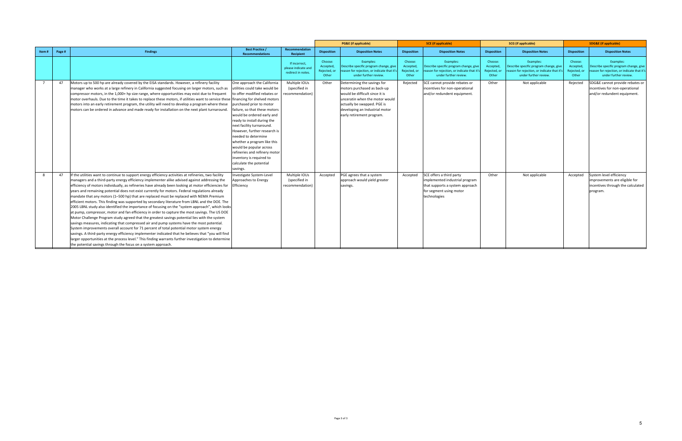|                |        |                                                                                                                                    |                                                  |                                                           |                                               | <b>PG&amp;E</b> (if applicable)                                                                                          | <b>SCE</b> (if applicable)                    |                                                                                                                            | <b>SCG</b> (if applicable)                    |                                                                                                                            | <b>SDG&amp;E</b> (if applicable)              |                                                                                                                             |
|----------------|--------|------------------------------------------------------------------------------------------------------------------------------------|--------------------------------------------------|-----------------------------------------------------------|-----------------------------------------------|--------------------------------------------------------------------------------------------------------------------------|-----------------------------------------------|----------------------------------------------------------------------------------------------------------------------------|-----------------------------------------------|----------------------------------------------------------------------------------------------------------------------------|-----------------------------------------------|-----------------------------------------------------------------------------------------------------------------------------|
| Item#          | Page # | <b>Findings</b>                                                                                                                    | <b>Best Practice /</b><br><b>Recommendations</b> | <b>Recommendation</b><br>Recipient                        | <b>Disposition</b>                            | <b>Disposition Notes</b>                                                                                                 | <b>Disposition</b>                            | <b>Disposition Notes</b>                                                                                                   | <b>Disposition</b>                            | <b>Disposition Notes</b>                                                                                                   | <b>Disposition</b>                            | <b>Disposition Notes</b>                                                                                                    |
|                |        |                                                                                                                                    |                                                  | If incorrect<br>please indicate and<br>redirect in notes. | Choose:<br>Accepted,<br>Rejected, or<br>Other | Examples:<br>Describe specific program change, give<br>eason for rejection, or indicate that it<br>under further review. | Choose:<br>Accepted,<br>Rejected, or<br>Other | Examples:<br>Describe specific program change, giv<br>reason for rejection, or indicate that it':<br>under further review. | Choose:<br>Accepted,<br>Rejected, or<br>Other | Examples:<br>Describe specific program change, give<br>eason for rejection, or indicate that it's<br>under further review. | Choose:<br>Accepted,<br>Rejected, or<br>Other | Examples:<br>Describe specific program change, give<br>reason for rejection, or indicate that it's<br>under further review. |
| $\overline{7}$ | 47     | Motors up to 500 hp are already covered by the EISA standards. However, a refinery facility                                        | One approach the California                      | Multiple IOUs                                             | Other                                         | Determining the savings for                                                                                              | Rejected                                      | SCE cannot provide rebates or                                                                                              | Other                                         | Not applicable                                                                                                             | Rejected                                      | SDG&E cannot provide rebates or                                                                                             |
|                |        | manager who works at a large refinery in California suggested focusing on larger motors, such as                                   | utilities could take would be                    | (specified in                                             |                                               | motors purchased as back-up                                                                                              |                                               | incentives for non-operational                                                                                             |                                               |                                                                                                                            |                                               | incentives for non-operational                                                                                              |
|                |        | compressor motors, in the 1,000+ hp size range, where opportunities may exist due to frequent                                      | to offer modified rebates or                     | ecommendation)                                            |                                               | would be difficult since it is                                                                                           |                                               | and/or redundent equipment.                                                                                                |                                               |                                                                                                                            |                                               | and/or redundent equipment.                                                                                                 |
|                |        | motor overhauls. Due to the time it takes to replace these motors, if utilities want to service these financing for shelved motors |                                                  |                                                           |                                               | unceratin when the motor would                                                                                           |                                               |                                                                                                                            |                                               |                                                                                                                            |                                               |                                                                                                                             |
|                |        | motors into an early retirement program, the utility will need to develop a program where these                                    | purchased prior to motor                         |                                                           |                                               | actually be swapped. PGE is                                                                                              |                                               |                                                                                                                            |                                               |                                                                                                                            |                                               |                                                                                                                             |
|                |        | motors can be ordered in advance and made ready for installation on the next plant turnaround.                                     | failure, so that these motors                    |                                                           |                                               | developing an Industrial motor                                                                                           |                                               |                                                                                                                            |                                               |                                                                                                                            |                                               |                                                                                                                             |
|                |        |                                                                                                                                    | would be ordered early and                       |                                                           |                                               | early retirement program.                                                                                                |                                               |                                                                                                                            |                                               |                                                                                                                            |                                               |                                                                                                                             |
|                |        |                                                                                                                                    | ready to install during the                      |                                                           |                                               |                                                                                                                          |                                               |                                                                                                                            |                                               |                                                                                                                            |                                               |                                                                                                                             |
|                |        |                                                                                                                                    | next facility turnaround.                        |                                                           |                                               |                                                                                                                          |                                               |                                                                                                                            |                                               |                                                                                                                            |                                               |                                                                                                                             |
|                |        |                                                                                                                                    | However, further research is                     |                                                           |                                               |                                                                                                                          |                                               |                                                                                                                            |                                               |                                                                                                                            |                                               |                                                                                                                             |
|                |        |                                                                                                                                    | needed to determine                              |                                                           |                                               |                                                                                                                          |                                               |                                                                                                                            |                                               |                                                                                                                            |                                               |                                                                                                                             |
|                |        |                                                                                                                                    | whether a program like this                      |                                                           |                                               |                                                                                                                          |                                               |                                                                                                                            |                                               |                                                                                                                            |                                               |                                                                                                                             |
|                |        |                                                                                                                                    | would be popular across                          |                                                           |                                               |                                                                                                                          |                                               |                                                                                                                            |                                               |                                                                                                                            |                                               |                                                                                                                             |
|                |        |                                                                                                                                    | refineries and refinery motor                    |                                                           |                                               |                                                                                                                          |                                               |                                                                                                                            |                                               |                                                                                                                            |                                               |                                                                                                                             |
|                |        |                                                                                                                                    | inventory is required to                         |                                                           |                                               |                                                                                                                          |                                               |                                                                                                                            |                                               |                                                                                                                            |                                               |                                                                                                                             |
|                |        |                                                                                                                                    | calculate the potential                          |                                                           |                                               |                                                                                                                          |                                               |                                                                                                                            |                                               |                                                                                                                            |                                               |                                                                                                                             |
|                |        |                                                                                                                                    | savings.                                         |                                                           |                                               |                                                                                                                          |                                               |                                                                                                                            |                                               |                                                                                                                            |                                               |                                                                                                                             |
|                | 47     | If the utilities want to continue to support energy efficiency activities at refineries, two facility                              | Investigate System-Level                         | Multiple IOUs                                             | Accepted                                      | PGE agrees that a system                                                                                                 | Accepted                                      | SCE offers a third party                                                                                                   | Other                                         | Not applicable                                                                                                             | Accepted                                      | System level efficiency                                                                                                     |
|                |        | managers and a third-party energy efficiency implementer alike advised against addressing the                                      | Approaches to Energy                             | (specified in                                             |                                               | approach would yield greater                                                                                             |                                               | implemented industrial program                                                                                             |                                               |                                                                                                                            |                                               | improvements are eligible for                                                                                               |
|                |        | efficiency of motors individually, as refineries have already been looking at motor efficiencies for                               | Efficiency                                       | recommendation                                            |                                               | savings.                                                                                                                 |                                               | that supports a system approach                                                                                            |                                               |                                                                                                                            |                                               | incentives through the calculated                                                                                           |
|                |        | years and remaining potential does not exist currently for motors. Federal regulations already                                     |                                                  |                                                           |                                               |                                                                                                                          |                                               | for segment using motor                                                                                                    |                                               |                                                                                                                            |                                               | program.                                                                                                                    |
|                |        | mandate that any motors (1–500 hp) that are replaced must be replaced with NEMA Premium                                            |                                                  |                                                           |                                               |                                                                                                                          |                                               | technologies                                                                                                               |                                               |                                                                                                                            |                                               |                                                                                                                             |
|                |        | efficient motors. This finding was supported by secondary literature from LBNL and the DOE. The                                    |                                                  |                                                           |                                               |                                                                                                                          |                                               |                                                                                                                            |                                               |                                                                                                                            |                                               |                                                                                                                             |
|                |        | [2005 LBNL study also identified the importance of focusing on the "system approach", which looks                                  |                                                  |                                                           |                                               |                                                                                                                          |                                               |                                                                                                                            |                                               |                                                                                                                            |                                               |                                                                                                                             |
|                |        | at pump, compressor, motor and fan efficiency in order to capture the most savings. The US DOE                                     |                                                  |                                                           |                                               |                                                                                                                          |                                               |                                                                                                                            |                                               |                                                                                                                            |                                               |                                                                                                                             |
|                |        | Motor Challenge Program study agreed that the greatest savings potential lies with the system                                      |                                                  |                                                           |                                               |                                                                                                                          |                                               |                                                                                                                            |                                               |                                                                                                                            |                                               |                                                                                                                             |
|                |        | savings measures, indicating that compressed air and pump systems have the most potential.                                         |                                                  |                                                           |                                               |                                                                                                                          |                                               |                                                                                                                            |                                               |                                                                                                                            |                                               |                                                                                                                             |
|                |        | System improvements overall account for 71 percent of total potential motor system energy                                          |                                                  |                                                           |                                               |                                                                                                                          |                                               |                                                                                                                            |                                               |                                                                                                                            |                                               |                                                                                                                             |
|                |        | savings. A third-party energy efficiency implementer indicated that he believes that "you will find                                |                                                  |                                                           |                                               |                                                                                                                          |                                               |                                                                                                                            |                                               |                                                                                                                            |                                               |                                                                                                                             |
|                |        | larger opportunities at the process level." This finding warrants further investigation to determine                               |                                                  |                                                           |                                               |                                                                                                                          |                                               |                                                                                                                            |                                               |                                                                                                                            |                                               |                                                                                                                             |
|                |        | the potential savings through the focus on a system approach.                                                                      |                                                  |                                                           |                                               |                                                                                                                          |                                               |                                                                                                                            |                                               |                                                                                                                            |                                               |                                                                                                                             |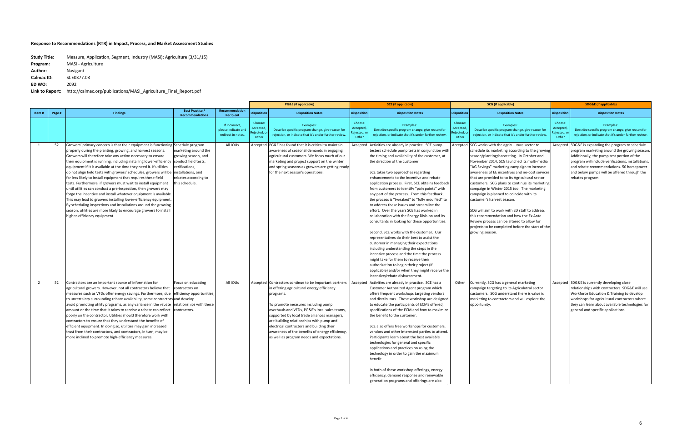|                |        |                                                                                                                                                                                                                                                                                                                                                                                                                                                                                                                                                                                                                                                                                                                                                                                                                                                                                                                                                                                           |                                                                                                        |                                                            |                                          | <b>PG&amp;E</b> (if applicable)                                                                                                                                                                                                                                                                                                                                                                                                                    |                                           | <b>SCE</b> (if applicable)                                                                                                                                                                                                                                                                                                                                                                                                                                                                                                                                                                                                                                                                                                                                                                                                                                                                                                                                                                                                                                                                     |                                          | <b>SCG</b> (if applicable)                                                                                                                                                                                                                                                                                                                                                                                                                                                                                                                                                                                                                                                                                                                        |                              | <b>SDG&amp;E</b> (if applicable)                                                                                                                                                                                                                                                                                        |  |
|----------------|--------|-------------------------------------------------------------------------------------------------------------------------------------------------------------------------------------------------------------------------------------------------------------------------------------------------------------------------------------------------------------------------------------------------------------------------------------------------------------------------------------------------------------------------------------------------------------------------------------------------------------------------------------------------------------------------------------------------------------------------------------------------------------------------------------------------------------------------------------------------------------------------------------------------------------------------------------------------------------------------------------------|--------------------------------------------------------------------------------------------------------|------------------------------------------------------------|------------------------------------------|----------------------------------------------------------------------------------------------------------------------------------------------------------------------------------------------------------------------------------------------------------------------------------------------------------------------------------------------------------------------------------------------------------------------------------------------------|-------------------------------------------|------------------------------------------------------------------------------------------------------------------------------------------------------------------------------------------------------------------------------------------------------------------------------------------------------------------------------------------------------------------------------------------------------------------------------------------------------------------------------------------------------------------------------------------------------------------------------------------------------------------------------------------------------------------------------------------------------------------------------------------------------------------------------------------------------------------------------------------------------------------------------------------------------------------------------------------------------------------------------------------------------------------------------------------------------------------------------------------------|------------------------------------------|---------------------------------------------------------------------------------------------------------------------------------------------------------------------------------------------------------------------------------------------------------------------------------------------------------------------------------------------------------------------------------------------------------------------------------------------------------------------------------------------------------------------------------------------------------------------------------------------------------------------------------------------------------------------------------------------------------------------------------------------------|------------------------------|-------------------------------------------------------------------------------------------------------------------------------------------------------------------------------------------------------------------------------------------------------------------------------------------------------------------------|--|
| Item#          | Page # | <b>Findings</b>                                                                                                                                                                                                                                                                                                                                                                                                                                                                                                                                                                                                                                                                                                                                                                                                                                                                                                                                                                           | <b>Best Practice</b><br><b>Recommendations</b>                                                         | Recommendation<br>Recipient                                | <b>Dispositior</b>                       | <b>Disposition Notes</b>                                                                                                                                                                                                                                                                                                                                                                                                                           | <b>Disposition</b>                        | <b>Disposition Notes</b>                                                                                                                                                                                                                                                                                                                                                                                                                                                                                                                                                                                                                                                                                                                                                                                                                                                                                                                                                                                                                                                                       | <b>Disposition</b>                       | <b>Disposition Notes</b>                                                                                                                                                                                                                                                                                                                                                                                                                                                                                                                                                                                                                                                                                                                          | <b>Disposition</b>           | <b>Disposition Notes</b>                                                                                                                                                                                                                                                                                                |  |
|                |        |                                                                                                                                                                                                                                                                                                                                                                                                                                                                                                                                                                                                                                                                                                                                                                                                                                                                                                                                                                                           |                                                                                                        | If incorrect,<br>please indicate and<br>redirect in notes. | Choose:<br>Accepted<br>ejected,<br>Other | Examples:<br>Describe specific program change, give reason for<br>rejection, or indicate that it's under further review                                                                                                                                                                                                                                                                                                                            | Choose:<br>Accepted<br>}ejected,<br>Other | Examples:<br>Describe specific program change, give reason for<br>rejection, or indicate that it's under further review.                                                                                                                                                                                                                                                                                                                                                                                                                                                                                                                                                                                                                                                                                                                                                                                                                                                                                                                                                                       | Choose<br>Accepted<br>Rejected,<br>Other | Examples:<br>Describe specific program change, give reason for<br>rejection, or indicate that it's under further review.                                                                                                                                                                                                                                                                                                                                                                                                                                                                                                                                                                                                                          | Choose:<br>Accepted<br>Other | Examples:<br>Describe specific program change, give reason for<br>rejection, or indicate that it's under further review.                                                                                                                                                                                                |  |
| 1              | 52     | Growers' primary concern is that their equipment is functioning Schedule program<br>properly during the planting, growing, and harvest seasons.<br>Growers will therefore take any action necessary to ensure<br>their equipment is running, including installing lower-efficiency conduct field tests,<br>equipment if it is available at the time they need it. If utilities<br>do not align field tests with growers' schedules, growers will be installations, and<br>far less likely to install equipment that requires these field<br>tests. Furthermore, if growers must wait to install equipment<br>until utilities can conduct a pre-inspection, then growers may<br>forgo the incentive and install whatever equipment is available.<br>This may lead to growers installing lower-efficiency equipment.<br>By scheduling inspections and installations around the growing<br>season, utilities are more likely to encourage growers to install<br>higher-efficiency equipment. | marketing around the<br>growing season, and<br>erifications,<br>rebates according to<br>this schedule. | All IOUs                                                   |                                          | Accepted PG&E has found that it is critical to maintain<br>awareness of seasonal demands in engaging<br>agricultural customers. We focus much of our<br>marketing and project support on the winter<br>and spring seasons as growers are getting ready<br>for the next season's operations.                                                                                                                                                        |                                           | Accepted Activities are already in practice. SCE pump<br>testers schedule pump tests in conjunction with<br>the timing and availability of the customer, at<br>the direction of the customer.<br>SCE takes two approaches regarding<br>enhancements to the incentive and rebate<br>application process. First, SCE obtains feedback<br>from customers to identify "pain points" with<br>any part of the process. From this feedback,<br>the process is "tweaked" to "fully modified" to<br>to address these issues and streamline the<br>effort. Over the years SCE has worked in<br>collaboration with the Energy Division and its<br>consultants in looking for these opportunities.<br>Second, SCE works with the customer. Our<br>representatives do their best to assist the<br>customer in managing their expectations<br>including understanding the steps in the<br>incentive process and the time the process<br>might take for them to receive their<br>authorization to begin their project (if<br>applicable) and/or when they might receive the<br>incentive/rebate disbursement. |                                          | Accepted SCG works with the agriculuture sector to<br>schedule its marketing according to the growing<br>season/planting/harvesting. In October and<br>November 2014, SCG launched its multi-media<br>"AG Savings" marketing campaign to increase<br>awareness of EE incentives and no-cost services<br>that are provided to to its Agricultural sector<br>customers. SCG plans to continue its marketing<br>campaign in Winter 2015 too. The marketing<br>campaign is planned to coincide with its<br>customer's harvest season.<br>SCG will aim to work with ED staff to address<br>this recommendation and how the Ex Ante<br>Review process can be altered to allow for<br>projects to be completed before the start of the<br>growing season |                              | Accepted SDG&E is expanding the program to schedule<br>program marketing around the growing season.<br>Additionally, the pump test portion of the<br>program will include verifications, installations,<br>and rebate recommendations. 50 horsepower<br>and below pumps will be offered through the<br>rebates program. |  |
| $\overline{2}$ | 52     | Contractors are an important source of information for<br>agricultural growers. However, not all contractors believe that<br>measures such as VFDs offer energy savings. Furthermore, due efficiency opportunities,<br>to uncertainty surrounding rebate availability, some contractors and develop<br>avoid promoting utility programs, as any variance in the rebate relationships with these<br>amount or the time that it takes to receive a rebate can reflect<br>poorly on the contractor. Utilities should therefore work with<br>contractors to ensure that they understand the benefits of<br>efficient equipment. In doing so, utilities may gain increased<br>trust from their contractors, and contractors, in turn, may be<br>more inclined to promote high-efficiency measures.                                                                                                                                                                                             | Focus on educating<br>contractors on<br>contractors.                                                   | All IOUs                                                   |                                          | Accepted Contractors continue to be important partners<br>in offering agricultural energy efficiency<br>programs.<br>To promote measures including pump<br>overhauls and VFDs, PG&E's local sales teams,<br>supported by local trade alliances managers,<br>are building relationships with pump and<br>electrical contractors and building their<br>awareness of the benefits of energy efficiency,<br>as well as program needs and expectations. |                                           | Accepted Activities are already in practice. SCE has a<br>Customer Authorized Agent program which<br>offers frequent workshops targeting vendors<br>and distributors. These workshop are designed<br>to educate the participants of ECMs offered,<br>specifications of the ECM and how to maximize<br>the benefit to the customer.<br>SCE also offers free workshops for customers,<br>vendors and other interested parties to attend.<br>Participants learn about the best available<br>technologies for general and specific<br>applications and practices on using the<br>technology in order to gain the maximum<br>benefit.<br>In both of these workshop offerings, energy<br>efficiency, demand response and renewable<br>generation programs and offerings are also                                                                                                                                                                                                                                                                                                                     | Other                                    | Currently, SCG has a general marketing<br>campaign targeting to its Agriculutral sector<br>customers. SCG understand there is value is<br>marketing to contractors and will explore the<br>opportunity.                                                                                                                                                                                                                                                                                                                                                                                                                                                                                                                                           |                              | Accepted SDG&E is currently developing close<br>relationships with contractors. SDG&E will use<br>Workforce Education & Training to develop<br>workshops for agricultural contractors where<br>they can learn about available technologies for<br>general and specific applications.                                    |  |

| <b>Study Title:</b> | Measure, Application, Segment, Industry (MASI): Agriculture (3/31/15) |
|---------------------|-----------------------------------------------------------------------|
| Program:            | <b>MASI</b> - Agriculture                                             |
| Author:             | Navigant                                                              |
| Calmac ID:          | SCE0377.03                                                            |
| ED WO:              | 2092                                                                  |
| Link to Report:     | http://calmac.org/publications/MASI Agriculture Final Report.pdf      |

**to Report:** http://calmac.org/publications/MASI\_Agriculture\_Final\_Report.pdf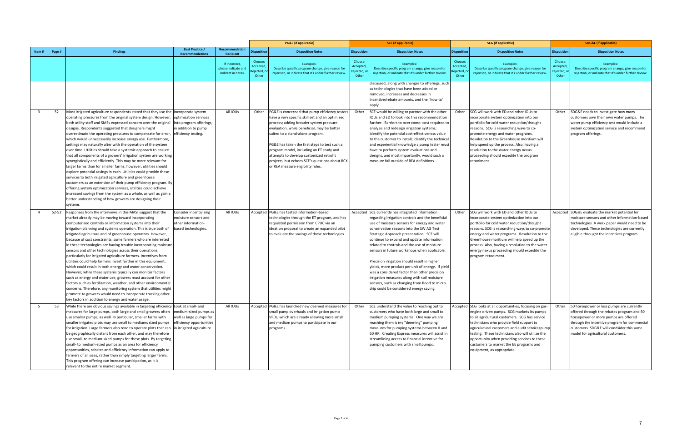|                                                                                                                                                                                                                                                                                                                                                                                                                                                                                                                         |                        | <b>SDG&amp;E</b> (if applicable)                                                                 |  |
|-------------------------------------------------------------------------------------------------------------------------------------------------------------------------------------------------------------------------------------------------------------------------------------------------------------------------------------------------------------------------------------------------------------------------------------------------------------------------------------------------------------------------|------------------------|--------------------------------------------------------------------------------------------------|--|
| <b>Best Practice /</b><br>Recommendation<br><b>Findings</b><br><b>Disposition Notes</b><br><b>Disposition</b><br><b>Disposition Notes</b><br><b>Disposition</b><br><b>Disposition Notes</b><br>Page #<br><b>Disposition</b><br>Item#                                                                                                                                                                                                                                                                                    | <b>Disposition</b>     | <b>Disposition Notes</b>                                                                         |  |
| <b>Recommendations</b><br><b>Recipient</b>                                                                                                                                                                                                                                                                                                                                                                                                                                                                              |                        |                                                                                                  |  |
| Choose:<br>Choose:<br>Choose:<br>If incorrect,<br>Examples:<br>Examples:<br>Examples:                                                                                                                                                                                                                                                                                                                                                                                                                                   | Choose:                | Examples:                                                                                        |  |
| Accepted<br>Acceptec<br>Accepted<br>please indicate and<br>Describe specific program change, give reason for<br>Describe specific program change, give reason for<br>Describe specific program change, give reason for<br>ejected,<br>የejected,<br>Rejected, c                                                                                                                                                                                                                                                          | Accepted<br>ejected, o | Describe specific program change, give reason for                                                |  |
| rejection, or indicate that it's under further review.<br>rejection, or indicate that it's under further review.<br>ejection, or indicate that it's under further review.<br>redirect in notes.<br>Other<br>Other<br>Other                                                                                                                                                                                                                                                                                              | Other                  | rejection, or indicate that it's under further review.                                           |  |
| discussed, along with changes to offerings, such                                                                                                                                                                                                                                                                                                                                                                                                                                                                        |                        |                                                                                                  |  |
| as technologies that have been added or                                                                                                                                                                                                                                                                                                                                                                                                                                                                                 |                        |                                                                                                  |  |
| removed, increases and decreases in                                                                                                                                                                                                                                                                                                                                                                                                                                                                                     |                        |                                                                                                  |  |
| incentive/rebate amounts, and the "how to"<br>apply                                                                                                                                                                                                                                                                                                                                                                                                                                                                     |                        |                                                                                                  |  |
| SCE would be willing to partner with the other<br>52<br>All IOUs<br>Other<br>Other<br>SCG will work with ED and other IOUs to<br>3<br>Other                                                                                                                                                                                                                                                                                                                                                                             |                        |                                                                                                  |  |
| Most irrigated agriculture respondents stated that they use the Incorporate system<br>PG&E is concerned that pump efficiency testers<br>have a very specific skill set and an optimized<br>IOUs and ED to look into this recommendation<br>operating pressures from the original system design. However,<br>optimization services<br>incorporate system optimization into our                                                                                                                                           | Other                  | SDG&E needs to investigate how many<br>customers own their own water pumps. The                  |  |
| process; adding broader system pressure<br>portfolio for cold water reduction/drought<br>both utility staff and SMEs expressed concern over the original<br>into program offerings<br>further. Barriers to over come: cost required to                                                                                                                                                                                                                                                                                  |                        | water pump efficiency test would include a                                                       |  |
| evaluation, while beneficial, may be better<br>designs. Respondents suggested that designers might<br>in addition to pump<br>analysis and redesign irrigation systems;<br>reasons. SCG is researching ways to co-                                                                                                                                                                                                                                                                                                       |                        | system optimization service and recommend                                                        |  |
| overestimate the operating pressures to compensate for error, efficiency testing.<br>suited to a stand-alone program.<br>identify the potential cost-effectiveness value<br>promote energy and water programs.                                                                                                                                                                                                                                                                                                          |                        | program offerings.                                                                               |  |
| to the customer to install; identify the technical<br>Resolution to the Greenhouse moritium will<br>which would unnecessarily increase energy use. Furthermore,                                                                                                                                                                                                                                                                                                                                                         |                        |                                                                                                  |  |
| and experiential knowledge a pump tester must<br>help speed up the process. Also, having a<br>settings may naturally alter with the operation of the system<br>PG&E has taken the first steps to test such a                                                                                                                                                                                                                                                                                                            |                        |                                                                                                  |  |
| over time. Utilities should take a systemic approach to ensure<br>program model, including an ET study and<br>have to perform system evaluations and<br>resolution to the water energy nexus                                                                                                                                                                                                                                                                                                                            |                        |                                                                                                  |  |
| that all components of a growers' irrigation system are working<br>designs, and most importantly, would such a<br>proceeding should expedite the program<br>attempts to develop customized retrofit<br>measure fall outside of REA definitions.<br>retoolment.                                                                                                                                                                                                                                                          |                        |                                                                                                  |  |
| synergistically and efficiently. This may be more relevant for<br>projects, but echoes SCE's questions about RCX<br>larger farms than for smaller farms; however, utilities should<br>or REA measure eligibility rules.                                                                                                                                                                                                                                                                                                 |                        |                                                                                                  |  |
| explore potential savings in each. Utilities could provide these                                                                                                                                                                                                                                                                                                                                                                                                                                                        |                        |                                                                                                  |  |
| services to both irrigated agriculture and greenhouse                                                                                                                                                                                                                                                                                                                                                                                                                                                                   |                        |                                                                                                  |  |
| customers as an extension of their pump efficiency program. By                                                                                                                                                                                                                                                                                                                                                                                                                                                          |                        |                                                                                                  |  |
| offering system optimization services, utilities could achieve                                                                                                                                                                                                                                                                                                                                                                                                                                                          |                        |                                                                                                  |  |
| increased savings from the system as a whole, as well as gain a                                                                                                                                                                                                                                                                                                                                                                                                                                                         |                        |                                                                                                  |  |
| better understanding of how growers are designing their                                                                                                                                                                                                                                                                                                                                                                                                                                                                 |                        |                                                                                                  |  |
| systems                                                                                                                                                                                                                                                                                                                                                                                                                                                                                                                 |                        |                                                                                                  |  |
| 52-53<br>Responses from the interviews in this MASI suggest that the<br>All IOUs<br>Accepted   PG&E has tested information-based<br>Accepted SCE currently has integrated information<br>SCG will work with ED and other IOUs to<br>Consider incentivizing<br>Other<br>$\overline{4}$<br>technologies through the ET program, and has<br>moisture sensors and                                                                                                                                                           |                        | Accepted SDG&E evaluate the market potential for<br>moisture sensors and other information-based |  |
| market already may be moving toward incorporating<br>regarding irrigation controls and the beneficial<br>incorporate system optimization into our<br>computerized controls or information systems into their<br>other information-<br>requested permission from CPUC via an<br>use of moisture sensors for energy and water<br>portfolio for cold water reduction/drought                                                                                                                                               |                        | technologies. A work paper would need to be                                                      |  |
| irrigation planning and systems operation. This is true both of<br>based technologies.<br>ideation proposal to create an expanded pilot<br>conservation reasons into the SW AG Test<br>reasons. SCG is researching ways to co-promote                                                                                                                                                                                                                                                                                   |                        | developed. These technologies are currently                                                      |  |
| irrigated agriculture and of greenhouse operators. However,<br>to evaluate the savings of these technologies.<br>Strategic Approach presentation. SCE will<br>energy and water programs. Resolution to the                                                                                                                                                                                                                                                                                                              |                        | eligible throught the incentives program.                                                        |  |
| because of cost constraints, some farmers who are interested<br>continue to expand and update information<br>Greenhouse moritium will help speed up the                                                                                                                                                                                                                                                                                                                                                                 |                        |                                                                                                  |  |
| related to controls and the use of moisture<br>process. Also, having a resolution to the water<br>in these technologies are having trouble incorporating moisture                                                                                                                                                                                                                                                                                                                                                       |                        |                                                                                                  |  |
| sensors and other technologies across their operations,<br>sensors in future workshops when applicable.<br>energy nexus proceeding should expedite the                                                                                                                                                                                                                                                                                                                                                                  |                        |                                                                                                  |  |
| particularly for irrigated agriculture farmers. Incentives from<br>program retoolment.<br>Precision irrigation should result in higher                                                                                                                                                                                                                                                                                                                                                                                  |                        |                                                                                                  |  |
| utilities could help farmers invest further in this equipment,<br>yields, more product per unit of energy. If yield<br>which could result in both energy and water conservation.                                                                                                                                                                                                                                                                                                                                        |                        |                                                                                                  |  |
| However, while these systems typically can monitor factors<br>was a considered factor than other precision                                                                                                                                                                                                                                                                                                                                                                                                              |                        |                                                                                                  |  |
| irrigation measures along with soil moisture<br>such as energy and water use, growers must account for other                                                                                                                                                                                                                                                                                                                                                                                                            |                        |                                                                                                  |  |
| sensors, such as changing from flood to micro<br>factors such as fertilization, weather, and other environmental                                                                                                                                                                                                                                                                                                                                                                                                        |                        |                                                                                                  |  |
| concerns. Therefore, any monitoring system that utilities might<br>drip could be considered energy saving.                                                                                                                                                                                                                                                                                                                                                                                                              |                        |                                                                                                  |  |
| promote to growers would need to incorporate tracking other                                                                                                                                                                                                                                                                                                                                                                                                                                                             |                        |                                                                                                  |  |
| key factors in addition to energy and water usage.                                                                                                                                                                                                                                                                                                                                                                                                                                                                      |                        |                                                                                                  |  |
| While there are obvious savings available in targeting efficiency Look at small- and<br>All IOUs<br>5<br>53<br>Accepted PG&E has launched new deemed measures for<br>Other<br>SCE understand the value to reaching out to<br>Accepted SCG looks at all opportunities, focusing on gas-<br>measures for large pumps, both large and small growers often<br>customers who have both large and small to<br>medium-sized pumps as<br>small pump overhauls and irrigation pump<br>engine driven pumps. SCG markets its pumps |                        | Other 50 horsepower or less pumps are currently<br>offered through the rebates program and 50    |  |
| use smaller pumps, as well. In particular, smaller farms with<br>well as large pumps for<br>VFDs, which are already allowing more small<br>medium pumping systems. One way we are<br>to all agricultural customers. SCG has service                                                                                                                                                                                                                                                                                     |                        | horsepower or more pumps are offered                                                             |  |
| reaching them is my "deeming" pumping<br>technicians who provide field support to<br>smaller irrigated plots may use small to mediums sized pumps<br>efficiency opportunities<br>and medium pumps to participate in our                                                                                                                                                                                                                                                                                                 |                        | through the incentive program for commercial                                                     |  |
| for irrigation. Large farmers also tend to operate plots that can in irrigated agriculture<br>agriculutural customers and audit service/pump<br>measures for pumping systems between 0 and<br>programs.                                                                                                                                                                                                                                                                                                                 |                        | customers. SDG&E will condsider this same                                                        |  |
| be geographically distant from each other, and may therefore<br>50 HP. Creating Express measures will assist in<br>testing. These technicians also will utilize the                                                                                                                                                                                                                                                                                                                                                     |                        | model for agricultural customers.                                                                |  |
| streamlining access to financial incentive for<br>use small- to medium-sized pumps for these plots. By targeting<br>opportunity when providing services to these                                                                                                                                                                                                                                                                                                                                                        |                        |                                                                                                  |  |
| small- to medium-sized pumps as an area for efficiency<br>customers to market the EE programs and<br>pumping customers with small pumps.                                                                                                                                                                                                                                                                                                                                                                                |                        |                                                                                                  |  |
| opportunities, rebates and efficiency information can apply to<br>equipment, as appropriate.                                                                                                                                                                                                                                                                                                                                                                                                                            |                        |                                                                                                  |  |
| farmers of all sizes, rather than simply targeting larger farms.<br>This program offering can increase participation, as it is                                                                                                                                                                                                                                                                                                                                                                                          |                        |                                                                                                  |  |
| relevant to the entire market segment.                                                                                                                                                                                                                                                                                                                                                                                                                                                                                  |                        |                                                                                                  |  |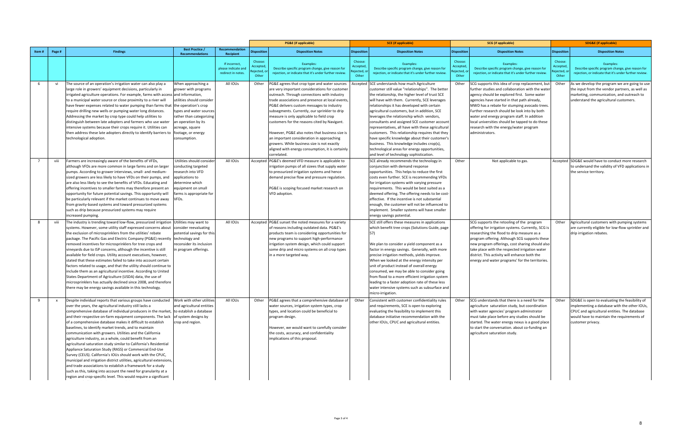|                 |              |                                                                                                                                                                                                                                                                                                                                                                                                                                                                                                                                                                                                                                                                                                                                                                                                                                                                                                                                                                                                               |                                                                                                                                                                                                                |                                                           |                                         | <b>PG&amp;E</b> (if applicable)                                                                                                                                                                                                                                                                                                                                                                                                                                                                                                                                                                              |                                         | <b>SCE</b> (if applicable)                                                                                                                                                                                                                                                                                                                                                                                                                                                                                                                                                                                                                                                                             |                                       | <b>SCG</b> (if applicable)                                                                                                                                                                                                                                                                                                                                                                                                                                       |                              | <b>SDG&amp;E</b> (if applicable)                                                                                                                                                                                  |
|-----------------|--------------|---------------------------------------------------------------------------------------------------------------------------------------------------------------------------------------------------------------------------------------------------------------------------------------------------------------------------------------------------------------------------------------------------------------------------------------------------------------------------------------------------------------------------------------------------------------------------------------------------------------------------------------------------------------------------------------------------------------------------------------------------------------------------------------------------------------------------------------------------------------------------------------------------------------------------------------------------------------------------------------------------------------|----------------------------------------------------------------------------------------------------------------------------------------------------------------------------------------------------------------|-----------------------------------------------------------|-----------------------------------------|--------------------------------------------------------------------------------------------------------------------------------------------------------------------------------------------------------------------------------------------------------------------------------------------------------------------------------------------------------------------------------------------------------------------------------------------------------------------------------------------------------------------------------------------------------------------------------------------------------------|-----------------------------------------|--------------------------------------------------------------------------------------------------------------------------------------------------------------------------------------------------------------------------------------------------------------------------------------------------------------------------------------------------------------------------------------------------------------------------------------------------------------------------------------------------------------------------------------------------------------------------------------------------------------------------------------------------------------------------------------------------------|---------------------------------------|------------------------------------------------------------------------------------------------------------------------------------------------------------------------------------------------------------------------------------------------------------------------------------------------------------------------------------------------------------------------------------------------------------------------------------------------------------------|------------------------------|-------------------------------------------------------------------------------------------------------------------------------------------------------------------------------------------------------------------|
| Item#           | Page #       | <b>Findings</b>                                                                                                                                                                                                                                                                                                                                                                                                                                                                                                                                                                                                                                                                                                                                                                                                                                                                                                                                                                                               | <b>Best Practice /</b><br><b>Recommendations</b>                                                                                                                                                               | Recommendation<br><b>Recipient</b>                        | Dispositior                             | <b>Disposition Notes</b>                                                                                                                                                                                                                                                                                                                                                                                                                                                                                                                                                                                     | Dispositio                              | <b>Disposition Notes</b>                                                                                                                                                                                                                                                                                                                                                                                                                                                                                                                                                                                                                                                                               | Dispositior                           | <b>Disposition Notes</b>                                                                                                                                                                                                                                                                                                                                                                                                                                         | <b>Disposition</b>           | <b>Disposition Notes</b>                                                                                                                                                                                          |
|                 |              |                                                                                                                                                                                                                                                                                                                                                                                                                                                                                                                                                                                                                                                                                                                                                                                                                                                                                                                                                                                                               |                                                                                                                                                                                                                | If incorrect,<br>please indicate an<br>redirect in notes. | Choose<br>Accepted<br>ejected,<br>Other | Examples:<br>Describe specific program change, give reason for<br>rejection, or indicate that it's under further review.                                                                                                                                                                                                                                                                                                                                                                                                                                                                                     | Choose<br>Accepter<br>ejected,<br>Other | Examples:<br>Describe specific program change, give reason for<br>rejection, or indicate that it's under further review.                                                                                                                                                                                                                                                                                                                                                                                                                                                                                                                                                                               | Choose<br>Accepte<br>ejected<br>Other | Examples:<br>Describe specific program change, give reason for<br>rejection, or indicate that it's under further review.                                                                                                                                                                                                                                                                                                                                         | Choose:<br>Acceptec<br>Other | Examples:<br>Describe specific program change, give reason for<br>rejection, or indicate that it's under further review.                                                                                          |
| 6               | vi           | The source of an operation's irrigation water can also play a<br>large role in growers' equipment decisions, particularly in<br>irrigated agriculture operations. For example, farms with access and information,<br>to a municipal water source or close proximity to a river will<br>have fewer expenses related to water pumping than farms that   the operation's crop<br>require drilling new wells or pumping water long distances.<br>Addressing the market by crop type could help utilities to<br>distinguish between late adopters and farmers who use water<br>intensive systems because their crops require it. Utilities can<br>then address these late adopters directly to identify barriers to<br>technological adoption.                                                                                                                                                                                                                                                                     | When approaching a<br>grower with programs<br>utilities should consider<br>types and water sources<br>rather than categorizing<br>an operation by its<br>acreage, square<br>footage, or energy<br>consumption. | All IOUs                                                  | Other                                   | PG&E agrees that crop type and water sources<br>are very important considerations for customer<br>outreach. Through connections with industry<br>trade associations and presence at local events,<br>PG&E delivers custom messages to industry<br>subsegments. Currently, our sprinkler to drip<br>measure is only applicable to field crop<br>customers for the reasons cited by Navigant.<br>However, PG&E also notes that business size is<br>an important consideration in approaching<br>growers. While business size is not exactly<br>aligned with energy consumption, it is certainly<br>correlated. |                                         | Accepted SCE understands how much Agriculture<br>customer still value "relationships". The better<br>the relationship, the higher level of trust SCE<br>will have with them. Currently, SCE leverages<br>relationships it has developed with certain<br>agricultural customers, but in addition, SCE<br>leverages the relationship which vendors,<br>consultants and assigned SCE customer account<br>representatives, all have with these agricultural<br>customers. This relationship requires that they<br>have specific knowledge about their customer's<br>business. This knowledge includes crop(s),<br>technological areas for energy opportunities,<br>and level of technology sophistication. | Other                                 | SCG supports this idea of crop replacement, but<br>further studies and collaboration with the water<br>agency should be explored first. Some water<br>agencies have started in that path already,<br>MWD has a rebate for stumping avocado trees.<br>Further research should be look into by both<br>water and energy program staff. In addition<br>local universities should be tapped to do these<br>research with the energy/water program<br>administrators. | Other                        | As we develop the program we are going to use<br>the input from the vendor partners, as well as<br>marketing, communication, and outreach to<br>understand the agricultural customers.                            |
| $7\overline{ }$ | viii         | Farmers are increasingly aware of the benefits of VFDs,<br>although VFDs are more common in large farms and on larger<br>pumps. According to grower interviews, small- and medium-<br>sized growers are less likely to have VFDs on their pumps, and<br>are also less likely to see the benefits of VFDs. Educating and<br>offering incentives to smaller farms may therefore present an<br>opportunity for future potential savings. This opportunity will<br>be particularly relevant if the market continues to move away<br>from gravity-based systems and toward pressurized systems<br>such as drip because pressurized systems may require<br>increased pumping.                                                                                                                                                                                                                                                                                                                                       | Utilities should consider<br>conducting targeted<br>research into VFD<br>applications to<br>determine which<br>equipment on small<br>arms is appropriate for<br>VFDs.                                          | All IOUs                                                  | Accepted                                | PG&E's deemed VFD measure is applicable to<br>irrigation pumps of all sizees that supply water<br>to pressurized irrigation systems and hence<br>demand precise flow and pressure regulation<br>PG&E is scoping focused market research on<br>VFD adoption.                                                                                                                                                                                                                                                                                                                                                  |                                         | SCE already recommends the technology in<br>conjunction with demand response<br>opportunities. This helps to reduce the first<br>costs even further. SCE is recommending VFDs<br>for irrigation systems with varying pressure<br>requirements. This would be best suited as a<br>deemed offering. The offering needs to be cost-<br>effective. If the incentive is not substantial<br>enough, the customer will not be influenced to<br>implement. Smaller systems will have smaller<br>energy savings potential.                                                                                                                                                                                      | Other                                 | Not applicable to gas.                                                                                                                                                                                                                                                                                                                                                                                                                                           |                              | Accepted SDG&E would have to conduct more research<br>to undersand the validity of VFD applications in<br>the service territory.                                                                                  |
| 8               | viii         | The industry is trending toward low-flow, pressurized irrigation Utilities may want to<br>systems. However, some utility staff expressed concerns about<br>the exclusion of microsprinklers from the utilities' rebate<br>package. The Pacific Gas and Electric Company (PG&E) recently   technology and<br>removed incentives for microsprinklers for tree crops and<br>vineyards due to ISP concerns, although the incentive is still<br>available for field crops. Utility account executives, however,<br>stated that these estimates failed to take into account certain<br>factors related to usage, and that the utility should continue to<br>include them as an agricultural incentive. According to United<br>States Department of Agriculture (USDA) data, the use of<br>microsprinklers has actually declined since 2008, and therefore<br>there may be energy savings available in this technology.                                                                                              | consider reevaluating<br>potential savings for this<br>reconsider its inclusion<br>n program offerings.                                                                                                        | All IOUs                                                  |                                         | Accepted PG&E sunset the noted measures for a variety<br>of reasons including outdated data. PG&E's<br>products team is considering opportunities for<br>new programs to support high-performance<br>irrigation system design, which could support<br>some drip and micro systems on all crop types<br>in a more targeted way.                                                                                                                                                                                                                                                                               |                                         | SCE still offers these measures in applications<br>which benefit tree crops (Solutions Guide, page<br>57)<br>We plan to consider a yield component as a<br>factor in energy savings. Generally, with more<br>precise irrigation methods, yields improve.<br>When we looked at the energy intensity per<br>unit of product instead of overall energy<br>consumed, we may be able to consider going<br>from flood to a more efficient irrigation system<br>leading to a faster adoption rate of these less<br>water intensive systems such as subsurface and<br>micro-irrigation.                                                                                                                        |                                       | SCG supports the retooling of the program<br>offering for irrigation systems. Currently, SCG is<br>researching the flood to drip measure as a<br>program offering. Although SCG supports these<br>new program offerings, cost sharing should also<br>take place with the respected irrigation water<br>district. This activity will enhance both the<br>energy and water programs' for the territories.                                                          | Other                        | Agricultural customers with pumping systems<br>are currently eligible for low-flow sprinkler and<br>drip irrigation rebates.                                                                                      |
| 9               | $\mathsf{x}$ | Despite individual reports that various groups have conducted<br>over the years, the agricultural industry still lacks a<br>comprehensive database of individual producers in the market, to establish a database<br>and their respective on-farm equipment components. The lack<br>of a comprehensive database makes it difficult to establish<br>baselines, to identify market trends, and to maintain<br>communication with growers. Utilities and the California<br>agriculture industry, as a whole, could benefit from an<br>agricultural saturation study similar to California's Residential<br>Appliance Saturation Study (RASS) or Commercial End-Use<br>Survey (CEUS). California's IOUs should work with the CPUC,<br>municipal and irrigation district utilities, agricultural extensions,<br>and trade associations to establish a framework for a study<br>such as this, taking into account the need for granularity at a<br>region and crop-specific level. This would require a significant | Work with other utilities<br>and agricultural entities<br>of system designs by<br>crop and region.                                                                                                             | All IOUs                                                  | Other                                   | PG&E agrees that a comprehensive database of<br>water sources, irrigation system types, crop<br>types, and location could be beneficial to<br>program design.<br>However, we would want to carefully consider<br>the costs, accuracy, and confidentiality<br>implications of this proposal.                                                                                                                                                                                                                                                                                                                  | Other                                   | Consistent with customer confidentiality rules<br>and requirements, SCE is open to exploring<br>evaluating the feasibility to implement this<br>database initiative recommendation with the<br>other IOUs, CPUC and agricultural entities.                                                                                                                                                                                                                                                                                                                                                                                                                                                             | Other                                 | SCG understands that there is a need for the<br>agriculture saturation study, but coordination<br>with water agencies' program adminstrator<br>must take place before any studies should be<br>started. The water energy nexus is a good place<br>to start the conversation. about co-funding an<br>agriculture saturation study.                                                                                                                                | Other                        | SDG&E is open to evaluating the feasibility of<br>implementing a database with the other IOUs,<br>CPUC and agricultural entities. The database<br>would have to maintain the requirements of<br>customer privacy. |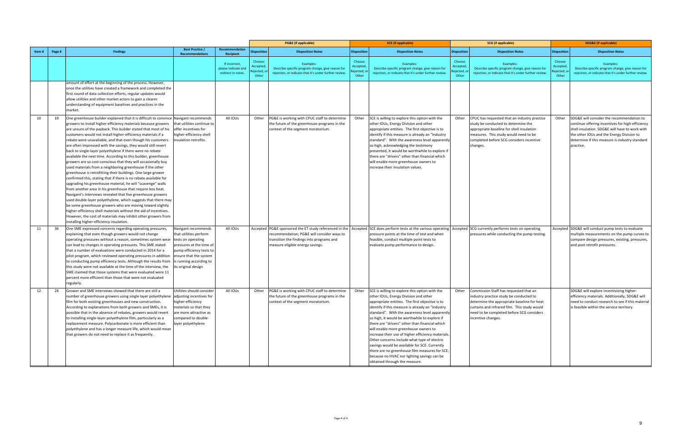|       |        |                                                                                                                                                                                                                                                                                                                                                                                                                                                                                                                                                                                                                                                                                                                                                                                                                                                                                                                                                                                                                                                                                                                                                                                                                                                                                                                                         |                                                                                                                                                                                                         |                                                            |                                          | <b>PG&amp;E</b> (if applicable)                                                                                                                                                       |                                           | <b>SCE</b> (if applicable)                                                                                                                                                                                                                                                                                                                                                                                                                                                                                                                                                                                                                                                            |                                             | <b>SCG</b> (if applicable)                                                                                                                                                                                                                                |                                            | <b>SDG&amp;E</b> (if applicable)                                                                                                                                                                                                                                  |
|-------|--------|-----------------------------------------------------------------------------------------------------------------------------------------------------------------------------------------------------------------------------------------------------------------------------------------------------------------------------------------------------------------------------------------------------------------------------------------------------------------------------------------------------------------------------------------------------------------------------------------------------------------------------------------------------------------------------------------------------------------------------------------------------------------------------------------------------------------------------------------------------------------------------------------------------------------------------------------------------------------------------------------------------------------------------------------------------------------------------------------------------------------------------------------------------------------------------------------------------------------------------------------------------------------------------------------------------------------------------------------|---------------------------------------------------------------------------------------------------------------------------------------------------------------------------------------------------------|------------------------------------------------------------|------------------------------------------|---------------------------------------------------------------------------------------------------------------------------------------------------------------------------------------|-------------------------------------------|---------------------------------------------------------------------------------------------------------------------------------------------------------------------------------------------------------------------------------------------------------------------------------------------------------------------------------------------------------------------------------------------------------------------------------------------------------------------------------------------------------------------------------------------------------------------------------------------------------------------------------------------------------------------------------------|---------------------------------------------|-----------------------------------------------------------------------------------------------------------------------------------------------------------------------------------------------------------------------------------------------------------|--------------------------------------------|-------------------------------------------------------------------------------------------------------------------------------------------------------------------------------------------------------------------------------------------------------------------|
| Item# | Page # | <b>Findings</b>                                                                                                                                                                                                                                                                                                                                                                                                                                                                                                                                                                                                                                                                                                                                                                                                                                                                                                                                                                                                                                                                                                                                                                                                                                                                                                                         | <b>Best Practice /</b><br><b>Recommendations</b>                                                                                                                                                        | Recommendation<br>Recipient                                | <b>Disposition</b>                       | <b>Disposition Notes</b>                                                                                                                                                              | <b>Disposition</b>                        | <b>Disposition Notes</b>                                                                                                                                                                                                                                                                                                                                                                                                                                                                                                                                                                                                                                                              | <b>Disposition</b>                          | <b>Disposition Notes</b>                                                                                                                                                                                                                                  | <b>Disposition</b>                         | <b>Disposition Notes</b>                                                                                                                                                                                                                                          |
|       |        |                                                                                                                                                                                                                                                                                                                                                                                                                                                                                                                                                                                                                                                                                                                                                                                                                                                                                                                                                                                                                                                                                                                                                                                                                                                                                                                                         |                                                                                                                                                                                                         | If incorrect,<br>please indicate and<br>redirect in notes. | Choose:<br>Accepted<br>ejected,<br>Other | Examples:<br>Describe specific program change, give reason for<br>rejection, or indicate that it's under further review.                                                              | Choose:<br>Accepted<br>Rejected,<br>Other | Examples:<br>Describe specific program change, give reason for<br>reiection, or indicate that it's under further review.                                                                                                                                                                                                                                                                                                                                                                                                                                                                                                                                                              | Choose:<br>Accepted<br>Rejected, o<br>Other | Examples:<br>Describe specific program change, give reason for<br>rejection, or indicate that it's under further review.                                                                                                                                  | Choose:<br>Accepted,<br>jected, o<br>Other | Examples:<br>Describe specific program change, give reason for<br>reiection, or indicate that it's under further review.                                                                                                                                          |
|       |        | amount of effort at the beginning of the process. However,<br>once the utilities have created a framework and completed the<br>first round of data collection efforts, regular updates would<br>allow utilities and other market actors to gain a clearer<br>understanding of equipment baselines and practices in the<br>market.                                                                                                                                                                                                                                                                                                                                                                                                                                                                                                                                                                                                                                                                                                                                                                                                                                                                                                                                                                                                       |                                                                                                                                                                                                         |                                                            |                                          |                                                                                                                                                                                       |                                           |                                                                                                                                                                                                                                                                                                                                                                                                                                                                                                                                                                                                                                                                                       |                                             |                                                                                                                                                                                                                                                           |                                            |                                                                                                                                                                                                                                                                   |
| 10    | 19     | One greenhouse builder explained that it is difficult to convince Navigant recommends<br>growers to install higher efficiency materials because growers<br>are unsure of the payback. This builder stated that most of his<br>customers would not install higher-efficiency materials if a<br>rebate were unavailable, and that even though his customers<br>are often impressed with the savings, they would still revert<br>back to single-layer polyethylene if there were no rebate<br>available the next time. According to this builder, greenhouse<br>growers are so cost-conscious that they will occasionally buy<br>used materials from a neighboring greenhouse if the other<br>greenhouse is retrofitting their buildings. One large grower<br>confirmed this, stating that if there is no rebate available for<br>upgrading his greenhouse material, he will "scavenge" walls<br>from another area in his greenhouse that require less heat.<br>Navigant's interviews revealed that five greenhouse growers<br>used double-layer polyethylene, which suggests that there may<br>be some greenhouse growers who are moving toward slightly<br>higher-efficiency shell materials without the aid of incentives.<br>However, the cost of materials may inhibit other growers from<br>installing higher-efficiency insulation. | that utilities continue to<br>offer incentives for<br>higher-efficiency shell<br>insulation retrofits.                                                                                                  | All IOUs                                                   | Other                                    | PG&E is working with CPUC staff to determine<br>the future of the greenhouse programs in the<br>context of the segment moratorium.                                                    | Other                                     | SCE is willing to explore this option with the<br>other IOUs, Energy Division and other<br>appropriate entities. The first objective is to<br>identify if this measure is already an "industry<br>standard". With the awareness level apparently<br>so high, acknowledging the testimony<br>presented, it would be worthwhile to explore if<br>there are "drivers" other than financial which<br>will enable more greenhouse owners to<br>increase their insulation values.                                                                                                                                                                                                           | Other                                       | CPUC has requested that an industry practice<br>study be conducted to determine the<br>appropriate baseline for shell insulation<br>measures. This study would need to be<br>completed before SCG considers incentive<br>changes.                         |                                            | Other SDG&E will consider the recommendation to<br>continue offering incentives for high-efficiency<br>shell insulation. SDG&E will have to work with<br>the other IOUs and the Energy Division to<br>determine if this measure is industry standard<br>practice. |
| 11    | 36     | One SME expressed concerns regarding operating pressures,<br>explaining that even though growers would not change<br>operating pressures without a reason, sometimes system wear<br>can lead to changes in operating pressures. This SME stated<br>that a number of evaluations were conducted in 2014 for a<br>pilot program, which reviewed operating pressures in addition<br>to conducting pump efficiency tests. Although the results from<br>this study were not available at the time of the interview, the<br>SME claimed that those systems that were evaluated were 11<br>percent more efficient than those that were not evaluated<br>regularly.                                                                                                                                                                                                                                                                                                                                                                                                                                                                                                                                                                                                                                                                             | Navigant recommends<br>that utilities perform<br>tests on operating<br>pressures at the time of<br>pump efficiency tests to<br>ensure that the system<br>is running according to<br>its original design | All IOUs                                                   |                                          | Accepted PG&E sponsored the ET study referenced in the<br>recommendation; PG&E will consider ways to<br>transition the findings into programs and<br>measure eligible energy savings. |                                           | Accepted SCE does perform tests at the various operating<br>pressure points at the time of test and when<br>feasible, conduct multiple point tests to<br>evaluate pump performance to design.                                                                                                                                                                                                                                                                                                                                                                                                                                                                                         |                                             | Accepted SCG currently performs tests on operating<br>pressures while conducting the pump testing.                                                                                                                                                        |                                            | Accepted SDG&E will conduct pump tests to evaluate<br>multiple measurements on the pump curves to<br>compare design pressures, existing, pressures,<br>and post retrofit pressures.                                                                               |
| 12    | 24     | Grower and SME interviews showed that there are still a<br>number of greenhouse growers using single layer polyethylene adjusting incentives for<br>film for both existing greenhouses and new construction.<br>According to explanations from both growers and SMEs, it is<br>possible that in the absence of rebates, growers would revert<br>to installing single-layer polyethylene film, particularly as a<br>replacement measure. Polycarbonate is more efficient than<br>polyethylene and has a longer measure life, which would mean<br>that growers do not need to replace it as frequently.                                                                                                                                                                                                                                                                                                                                                                                                                                                                                                                                                                                                                                                                                                                                   | Utilities should consider<br>higher-efficiency<br>materials so that they<br>are more attractive as<br>compared to double-<br>layer polyethylene                                                         | All IOUs                                                   | Other                                    | PG&E is working with CPUC staff to determine<br>the future of the greenhouse programs in the<br>context of the segment moratorium.                                                    | Other                                     | SCE is willing to explore this option with the<br>other IOUs, Energy Division and other<br>appropriate entities. The first objective is to<br>identify if this measure is already an "industry<br>standard". With the awareness level apparently<br>so high, it would be worthwhile to explore if<br>there are "drivers" other than financial which<br>will enable more greenhouse owners to<br>increase their use of higher efficiency materials.<br>Other concerns include what type of electric<br>savings would be available for SCE. Currently<br>there are no greenhouse film measures for SCE,<br>because no HVAC nor lighting savings can be<br>obtained through the measure. |                                             | Other Commission Staff has requested that an<br>industry practice study be conducted to<br>determine the appropriate baseline for heat<br>curtains and infrared film. This study would<br>need to be completed before SCG considers<br>incentive changes. |                                            | SDG&E will explore incentivizing higher-<br>efficiency materials. Additionally, SDG&E will<br>need to conduct research to see if this material<br>is feasible within the service territory.                                                                       |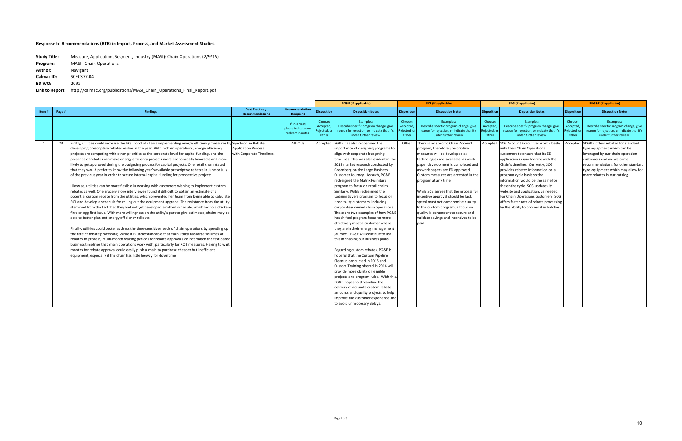|       |        |                                                                                                                                                                                               |                                                  |                                                            |                                             | <b>PG&amp;E</b> (if applicable)                                                                                             |                                           | <b>SCE</b> (if applicable)                                                                                                  | <b>SCG</b> (if applicable)                  |                                                                                                                             |                                            | <b>SDG&amp;E</b> (if applicable)                                                                                            |
|-------|--------|-----------------------------------------------------------------------------------------------------------------------------------------------------------------------------------------------|--------------------------------------------------|------------------------------------------------------------|---------------------------------------------|-----------------------------------------------------------------------------------------------------------------------------|-------------------------------------------|-----------------------------------------------------------------------------------------------------------------------------|---------------------------------------------|-----------------------------------------------------------------------------------------------------------------------------|--------------------------------------------|-----------------------------------------------------------------------------------------------------------------------------|
| Item# | Page # | <b>Findings</b>                                                                                                                                                                               | <b>Best Practice /</b><br><b>Recommendations</b> | <b>Recommendation</b><br>Recipient                         | <b>Disposition</b>                          | <b>Disposition Notes</b>                                                                                                    | <b>Disposition</b>                        | <b>Disposition Notes</b>                                                                                                    | <b>Disposition</b>                          | <b>Disposition Notes</b>                                                                                                    | <b>Disposition</b>                         | <b>Disposition Notes</b>                                                                                                    |
|       |        |                                                                                                                                                                                               |                                                  | If incorrect,<br>please indicate and<br>redirect in notes. | Choose:<br>Accepted<br>lejected, o<br>Other | Examples:<br>Describe specific program change, give<br>reason for rejection, or indicate that it's<br>under further review. | Choose:<br>Accepted<br>Rejected,<br>Other | Examples:<br>Describe specific program change, give<br>reason for rejection, or indicate that it's<br>under further review. | Choose:<br>Accepte<br>Rejected, oı<br>Other | Examples:<br>Describe specific program change, give<br>reason for rejection, or indicate that it's<br>under further review. | Choose:<br>Accepted<br>eiected, o<br>Other | Examples:<br>Describe specific program change, give<br>reason for rejection, or indicate that it's<br>under further review. |
|       | 23     | Firstly, utilities could increase the likelihood of chains implementing energy efficiency measures by Synchronize Rebate                                                                      |                                                  | All IOUs                                                   | Accepted                                    | PG&E has also recognized the                                                                                                | Other                                     | There is no specific Chain Account                                                                                          |                                             | Accepted SCG Account Executives work closely                                                                                |                                            | Accepted SDG&E offers rebates for standard                                                                                  |
|       |        | developing prescriptive rebates earlier in the year. Within chain operations, energy efficiency                                                                                               | <b>Application Process</b>                       |                                                            |                                             | importance of designing programs to                                                                                         |                                           | program, therefore prescriptive                                                                                             |                                             | with their Chain Operations                                                                                                 |                                            | type equipment which can be                                                                                                 |
|       |        | projects are competing with other priorities at the corporate level for capital funding, and the                                                                                              | with Corporate Timelines.                        |                                                            |                                             | align with corporate budgeting                                                                                              |                                           | measures will be developed as                                                                                               |                                             | customers to ensure that its EE                                                                                             |                                            | leveraged by our chain operation                                                                                            |
|       |        | presence of rebates can make energy efficiency projects more economically favorable and more                                                                                                  |                                                  |                                                            |                                             | timelines. This was also evident in the                                                                                     |                                           | technologies are available; as work                                                                                         |                                             | application is synchronize with the                                                                                         |                                            | customers and we welcome                                                                                                    |
|       |        | likely to get approved during the budgeting process for capital projects. One retail chain stated                                                                                             |                                                  |                                                            |                                             | 2015 market research conducted by                                                                                           |                                           | paper development is completed and                                                                                          |                                             | Chain's timeline. Currently, SCG                                                                                            |                                            | recommendations for other standard                                                                                          |
|       |        | that they would prefer to know the following year's available prescriptive rebates in June or July                                                                                            |                                                  |                                                            |                                             | Greenberg on the Large Business                                                                                             |                                           | as work papers are ED approved.                                                                                             |                                             | provides rebates information on a                                                                                           |                                            | type equipment which may allow for                                                                                          |
|       |        | of the previous year in order to secure internal capital funding for prospective projects.                                                                                                    |                                                  |                                                            |                                             | Customer Journey. As such, PG&E                                                                                             |                                           | Custom measures are accepted in the                                                                                         |                                             | program cycle basis so the                                                                                                  |                                            | more rebates in our catalog.                                                                                                |
|       |        |                                                                                                                                                                                               |                                                  |                                                            |                                             | redesigned the Matrix Furniture                                                                                             |                                           | program at any time.                                                                                                        |                                             | information would be the same for                                                                                           |                                            |                                                                                                                             |
|       |        | Likewise, utilities can be more flexible in working with customers wishing to implement custom                                                                                                |                                                  |                                                            |                                             | program to focus on retail chains.                                                                                          |                                           |                                                                                                                             |                                             | the entire cycle. SCG updates its                                                                                           |                                            |                                                                                                                             |
|       |        | rebates as well. One grocery store interviewee found it difficult to obtain an estimate of a                                                                                                  |                                                  |                                                            |                                             | Similarly, PG&E redesigned the                                                                                              |                                           | While SCE agrees that the process for                                                                                       |                                             | website and application, as needed.                                                                                         |                                            |                                                                                                                             |
|       |        | potential custom rebate from the utilities, which prevented her team from being able to calculate                                                                                             |                                                  |                                                            |                                             | Lodging Savers program to focus on                                                                                          |                                           | incentive approval should be fast,                                                                                          |                                             | For Chain Operations customers, SCG                                                                                         |                                            |                                                                                                                             |
|       |        | ROI and develop a schedule for rolling out the equipment upgrade. The resistance from the utility                                                                                             |                                                  |                                                            |                                             | Hospitality customers, including                                                                                            |                                           | speed must not compromise quality.                                                                                          |                                             | offers faster rate of rebate processing                                                                                     |                                            |                                                                                                                             |
|       |        | stemmed from the fact that they had not yet developed a rollout schedule, which led to a chicken-                                                                                             |                                                  |                                                            |                                             | corporately owned chain operations.                                                                                         |                                           | In the custom program, a focus on                                                                                           |                                             | by the ability to process it in batches.                                                                                    |                                            |                                                                                                                             |
|       |        | first-or-egg-first issue. With more willingness on the utility's part to give estimates, chains may be                                                                                        |                                                  |                                                            |                                             | These are two examples of how PG&E                                                                                          |                                           | quality is paramount to secure and                                                                                          |                                             |                                                                                                                             |                                            |                                                                                                                             |
|       |        | able to better plan out energy efficiency rollouts.                                                                                                                                           |                                                  |                                                            |                                             | has shifted program focus to more                                                                                           |                                           | validate savings and incentives to be                                                                                       |                                             |                                                                                                                             |                                            |                                                                                                                             |
|       |        |                                                                                                                                                                                               |                                                  |                                                            |                                             | effectively meet a customer where                                                                                           |                                           | paid.                                                                                                                       |                                             |                                                                                                                             |                                            |                                                                                                                             |
|       |        | Finally, utilities could better address the time-sensitive needs of chain operations by speeding up                                                                                           |                                                  |                                                            |                                             | they arein their energy management                                                                                          |                                           |                                                                                                                             |                                             |                                                                                                                             |                                            |                                                                                                                             |
|       |        | the rate of rebate processing. While it is understandable that each utility has large volumes of                                                                                              |                                                  |                                                            |                                             | journey. PG&E will continue to use                                                                                          |                                           |                                                                                                                             |                                             |                                                                                                                             |                                            |                                                                                                                             |
|       |        | rebates to process, multi-month waiting periods for rebate approvals do not match the fast-paced                                                                                              |                                                  |                                                            |                                             | this in shaping our business plans.                                                                                         |                                           |                                                                                                                             |                                             |                                                                                                                             |                                            |                                                                                                                             |
|       |        | business timelines that chain operations work with, particularly for ROB measures. Having to wait<br>months for rebate approval could easily push a chain to purchase cheaper but inefficient |                                                  |                                                            |                                             | Regarding custom rebates, PG&E is                                                                                           |                                           |                                                                                                                             |                                             |                                                                                                                             |                                            |                                                                                                                             |
|       |        | equipment, especially if the chain has little leeway for downtime                                                                                                                             |                                                  |                                                            |                                             | hopeful that the Custom Pipeline                                                                                            |                                           |                                                                                                                             |                                             |                                                                                                                             |                                            |                                                                                                                             |
|       |        |                                                                                                                                                                                               |                                                  |                                                            |                                             | Cleanup conducted in 2015 and                                                                                               |                                           |                                                                                                                             |                                             |                                                                                                                             |                                            |                                                                                                                             |
|       |        |                                                                                                                                                                                               |                                                  |                                                            |                                             | Custom Training offered in 2016 will                                                                                        |                                           |                                                                                                                             |                                             |                                                                                                                             |                                            |                                                                                                                             |
|       |        |                                                                                                                                                                                               |                                                  |                                                            |                                             | provide more clarity on eligible                                                                                            |                                           |                                                                                                                             |                                             |                                                                                                                             |                                            |                                                                                                                             |
|       |        |                                                                                                                                                                                               |                                                  |                                                            |                                             | projects and program rules. With this,                                                                                      |                                           |                                                                                                                             |                                             |                                                                                                                             |                                            |                                                                                                                             |
|       |        |                                                                                                                                                                                               |                                                  |                                                            |                                             | PG&E hopes to streamline the                                                                                                |                                           |                                                                                                                             |                                             |                                                                                                                             |                                            |                                                                                                                             |
|       |        |                                                                                                                                                                                               |                                                  |                                                            |                                             | delivery of accurate custom rebate                                                                                          |                                           |                                                                                                                             |                                             |                                                                                                                             |                                            |                                                                                                                             |
|       |        |                                                                                                                                                                                               |                                                  |                                                            |                                             | amounts and quality projects to help                                                                                        |                                           |                                                                                                                             |                                             |                                                                                                                             |                                            |                                                                                                                             |
|       |        |                                                                                                                                                                                               |                                                  |                                                            |                                             | improve the customer experience and                                                                                         |                                           |                                                                                                                             |                                             |                                                                                                                             |                                            |                                                                                                                             |
|       |        |                                                                                                                                                                                               |                                                  |                                                            |                                             | to avoid unneccesary delays.                                                                                                |                                           |                                                                                                                             |                                             |                                                                                                                             |                                            |                                                                                                                             |

| <b>Study Title:</b> | Measure, Application, Segment, Industry (MASI): Chain Operations (2/9/15) |
|---------------------|---------------------------------------------------------------------------|
| Program:            | <b>MASI</b> - Chain Operations                                            |
| Author:             | Navigant                                                                  |
| <b>Calmac ID:</b>   | SCE0377.04                                                                |
| ED WO:              | 2092                                                                      |
| Link to Report:     | http://calmac.org/publications/MASI Chain Operations Final Report.pdf     |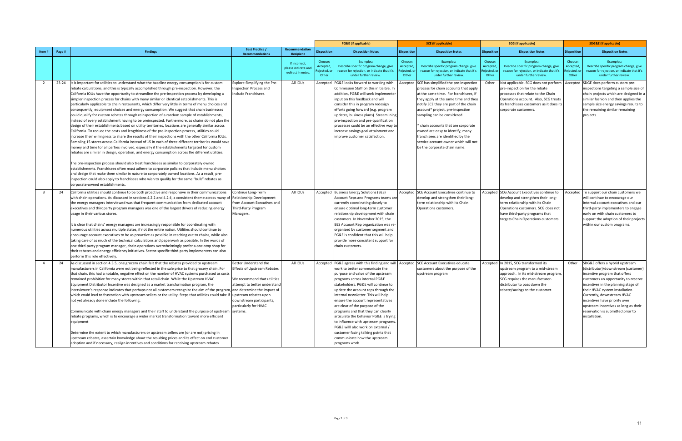|                         |        |                                                                                                                                                                                                                                                                                                                                                                                                                                                                                                                                                                                                                                                                                                                                                                                                                                                                                                                                                                                                                                                                                                                                                                                                                                                                                                                                                                                                                                                                                                                                                                                                                                                                                                                                                                                                                                                                             |                                                                                                                                                                                 |                                                            |                                            | <b>PG&amp;E</b> (if applicable)                                                                                                                                                                                                                                                                                                                                                                                                                                                                                                                                                                                                                     | <b>SCE</b> (if applicable)                |                                                                                                                                                                                                                                                                                                                                                                                                                                                                              |                                           | <b>SCG</b> (if applicable)                                                                                                                                                                                                                                         |                                               | <b>SDG&amp;E (if applicable)</b>                                                                                                                                                                                                                                                                                                                                                     |
|-------------------------|--------|-----------------------------------------------------------------------------------------------------------------------------------------------------------------------------------------------------------------------------------------------------------------------------------------------------------------------------------------------------------------------------------------------------------------------------------------------------------------------------------------------------------------------------------------------------------------------------------------------------------------------------------------------------------------------------------------------------------------------------------------------------------------------------------------------------------------------------------------------------------------------------------------------------------------------------------------------------------------------------------------------------------------------------------------------------------------------------------------------------------------------------------------------------------------------------------------------------------------------------------------------------------------------------------------------------------------------------------------------------------------------------------------------------------------------------------------------------------------------------------------------------------------------------------------------------------------------------------------------------------------------------------------------------------------------------------------------------------------------------------------------------------------------------------------------------------------------------------------------------------------------------|---------------------------------------------------------------------------------------------------------------------------------------------------------------------------------|------------------------------------------------------------|--------------------------------------------|-----------------------------------------------------------------------------------------------------------------------------------------------------------------------------------------------------------------------------------------------------------------------------------------------------------------------------------------------------------------------------------------------------------------------------------------------------------------------------------------------------------------------------------------------------------------------------------------------------------------------------------------------------|-------------------------------------------|------------------------------------------------------------------------------------------------------------------------------------------------------------------------------------------------------------------------------------------------------------------------------------------------------------------------------------------------------------------------------------------------------------------------------------------------------------------------------|-------------------------------------------|--------------------------------------------------------------------------------------------------------------------------------------------------------------------------------------------------------------------------------------------------------------------|-----------------------------------------------|--------------------------------------------------------------------------------------------------------------------------------------------------------------------------------------------------------------------------------------------------------------------------------------------------------------------------------------------------------------------------------------|
| Item#                   | Page # | <b>Findings</b>                                                                                                                                                                                                                                                                                                                                                                                                                                                                                                                                                                                                                                                                                                                                                                                                                                                                                                                                                                                                                                                                                                                                                                                                                                                                                                                                                                                                                                                                                                                                                                                                                                                                                                                                                                                                                                                             | <b>Best Practice /</b><br><b>Recommendations</b>                                                                                                                                | Recommendation<br>Recipient                                | <b>Disposition</b>                         | <b>Disposition Notes</b>                                                                                                                                                                                                                                                                                                                                                                                                                                                                                                                                                                                                                            | <b>Disposition</b>                        | <b>Disposition Notes</b>                                                                                                                                                                                                                                                                                                                                                                                                                                                     | <b>Disposition</b>                        | <b>Disposition Notes</b>                                                                                                                                                                                                                                           | <b>Disposition</b>                            | <b>Disposition Notes</b>                                                                                                                                                                                                                                                                                                                                                             |
|                         |        |                                                                                                                                                                                                                                                                                                                                                                                                                                                                                                                                                                                                                                                                                                                                                                                                                                                                                                                                                                                                                                                                                                                                                                                                                                                                                                                                                                                                                                                                                                                                                                                                                                                                                                                                                                                                                                                                             |                                                                                                                                                                                 | If incorrect,<br>please indicate and<br>redirect in notes. | Choose:<br>Accepted<br>ejected, o<br>Other | Examples:<br>Describe specific program change, give<br>reason for rejection, or indicate that it's<br>under further review.                                                                                                                                                                                                                                                                                                                                                                                                                                                                                                                         | Choose:<br>Accepted<br>Rejected,<br>Other | Examples:<br>Describe specific program change, give<br>reason for rejection, or indicate that it's<br>under further review.                                                                                                                                                                                                                                                                                                                                                  | Choose:<br>Accepted<br>Rejected,<br>Other | Examples:<br>Describe specific program change, give<br>reason for rejection, or indicate that it's<br>under further review.                                                                                                                                        | Choose:<br>Accepted,<br>Rejected, or<br>Other | Examples:<br>Describe specific program change, give<br>reason for rejection, or indicate that it's<br>under further review.                                                                                                                                                                                                                                                          |
| 2                       |        | 23-24 It is important for utilities to understand what the baseline energy consumption is for custom<br>rebate calculations, and this is typically accomplished through pre-inspection. However, the<br>California IOUs have the opportunity to streamline the pre-inspection process by developing a<br>simpler inspection process for chains with many similar or identical establishments. This is<br>particularly applicable to chain restaurants, which differ very little in terms of menu choices and<br>consequently, equipment choices and energy consumption. We suggest that chain businesses<br>could qualify for custom rebates through reinspection of a random sample of establishments,<br>instead of every establishment having to be preinspected. Furthermore, as chains do not plan the<br>design of their establishments based on utility territories, locations are generally similar across<br>California. To reduce the costs and lengthiness of the pre-inspection process, utilities could<br>increase their willingness to share the results of their inspections with the other California IOUs.<br>Sampling 15 stores across California instead of 15 in each of three different territories would save<br>money and time for all parties involved, especially if the establishments targeted for custom<br>rebates are similar in design, operation, and energy consumption across the different utilities.<br>The pre-inspection process should also treat franchisees as similar to corporately owned<br>establishments. Franchisees often must adhere to corporate policies that include menu choices<br>and design that make them similar in nature to corporately owned locations. As a result, pre-<br>inspection could also apply to franchisees who wish to qualify for the same "bulk" rebates as<br>corporate-owned establishments. | <b>Explore Simplifying the Pre-</b><br>nspection Process and<br>nclude Franchisees.                                                                                             | All IOUs                                                   |                                            | Accepted PG&E looks forward to working with<br>Commission Staff on this initiaitve. In<br>addition, PG&E will seek implementer<br>input on this feedback and will<br>consider this in program redesign<br>efforts going forward (e.g. program<br>updates, business plans). Streamlining<br>pre-inspection and pre-qualification<br>processes could be an effective way to<br>increase savings goal attainment and<br>improve customer satisfaction.                                                                                                                                                                                                 |                                           | Accepted SCE has simplified the pre-inspection<br>process for chain accounts that apply<br>at the same time. For franchisees, if<br>they apply at the same time and they<br>notify SCE they are part of the chain<br>account* project, pre-inspection<br>sampling can be considered.<br>' chain accounts that are corporate<br>owned are easy to identify, many<br>franchisees are identified by the<br>service account owner which will not<br>be the corporate chain name. | Other                                     | Not applicable. SCG does not perform   Accepted   SDGE does perform custom pre-<br>pre-inspection for the rebate<br>processes that relate to the Chain<br>Operations account. Also, SCG treats<br>its franchisees customers as it does its<br>corporate customers. |                                               | inspections targeting a sample size of<br>chain projects which are designed in a<br>similar fashion and then applies the<br>sample size energy savings results to<br>the remaining similar remaining<br>projects.                                                                                                                                                                    |
| $\overline{\mathbf{3}}$ | 24     | California utilities should continue to be both proactive and responsive in their communications<br>with chain operations. As discussed in sections 4.2.2 and 4.2.4, a consistent theme across many of<br>the energy managers interviewed was that frequent communication from dedicated account<br>executives and thirdparty program managers was one of the largest drivers of reducing energy<br>usage in their various stores.<br>It is clear that chains' energy managers are increasingly responsible for coordinating with<br>numerous utilities across multiple states, if not the entire nation. Utilities should continue to<br>encourage account executives to be as proactive as possible in reaching out to chains, while also<br>taking care of as much of the technical calculations and paperwork as possible. In the words of<br>one third-party program manager, chain operations overwhelmingly prefer a one-stop shop for<br>their rebates and energy efficiency initiatives. Sector-specific third-party implementers can also<br>perform this role effectively.                                                                                                                                                                                                                                                                                                                                                                                                                                                                                                                                                                                                                                                                                                                                                                                       | Continue Long-Term<br><b>Relationship Development</b><br>from Account Executives and<br>Third-Party Program<br>Managers.                                                        | All IOUs                                                   |                                            | Accepted Business Energy Solutions (BES)<br>Account Reps and Programs teams are<br>currently coordinating closely to<br>ensure optimal long-term customer<br>relationship development with chain<br>customers. In November 2015, the<br>BES Account Rep organization was re-<br>organized by customer segment and<br>PG&E is confident that this will help<br>provide more consistent support for<br>chain customers.                                                                                                                                                                                                                               |                                           | Accepted SCE Account Executives continue to<br>develop and strengthen their long-<br>term relationship with its Chain<br>Operations customers.                                                                                                                                                                                                                                                                                                                               |                                           | Accepted SCG Account Executives continue to<br>develop and strengthen their long-<br>term relationship with its Chain<br>Operations customers. SCG does not<br>have third-party programs that<br>targets Chain Operations customers.                               |                                               | Accepted To support our chain customers we<br>will continue to encourage our<br>internal account executives and our<br>third-party implementers to engage<br>early on with chain customers to<br>support the adoption of their projects<br>within our custom programs.                                                                                                               |
| $\overline{4}$          | 24     | As discussed in section 4.3.5, one grocery chain felt that the rebates provided to upstream<br>manufacturers in California were not being reflected in the sale price to that grocery chain. For<br>that chain, this had a notable, negative effect on the number of HVAC systems purchased as costs<br>remained prohibitive for many stores within that retail chain. While the Upstream HVAC<br>Equipment Distributor Incentive was designed as a market transformation program, the<br>interviewee's response indicates that perhaps not all customers recognize the aim of the program, and determine the impact of<br>which could lead to frustration with upstream sellers or the utility. Steps that utilities could take if upstream rebates upon<br>not yet already done include the following:<br>Communicate with chain energy managers and their staff to understand the purpose of upstream systems.<br>rebate programs, which is to encourage a wider market transformation toward more efficient<br>equipment<br>Determine the extent to which manufacturers or upstream sellers are (or are not) pricing in<br>upstream rebates, ascertain knowledge about the resulting prices and its effect on end customer<br>adoption and if necessary, realign incentives and conditions for receiving upstream rebates                                                                                                                                                                                                                                                                                                                                                                                                                                                                                                                                               | Better Understand the<br><b>Effects of Upstream Rebates</b><br>Ne recommend that utilities<br>attempt to better understand<br>downstream participants,<br>particularly for HVAC | All IOUs                                                   |                                            | Accepted PG&E agrees with this finding and will Accepted SCE Account Executives educate<br>work to better communicate the<br>purpose and value of the upstream<br>programs across internal PG&E<br>stakeholders. PG&E will continue to<br>update the account reps through the<br>internal newsletter. This will help<br>ensure the account representatives<br>are clear of the purpose of the<br>programs and that they can clearly<br>articulate the behavior PG&E is trying<br>to influence with upstream programs<br>PG&E willl also work on external /<br>customer facing talking points that<br>communicate how the upstream<br>programs work. |                                           | customers about the purpose of the<br>upstream program                                                                                                                                                                                                                                                                                                                                                                                                                       |                                           | Accepted In 2015, SCG transformed its<br>upstream program to a mid-stream<br>approach. In its mid-stream program,<br>SCG requires the manufacturer-<br>distributor to pass down the<br>rebate/savings to the customer.                                             | Other                                         | SDG&E offers a hybrid upstream<br>(distributor)/downstream (customer)<br>incentive program that offers<br>customers an opportunity to reserve<br>incentives in the planning stage of<br>their HVAC system installation.<br>Currently, downstream HVAC<br>incentives have priority over<br>upstream incentives as long as their<br>reservation is submitted prior to<br>installation. |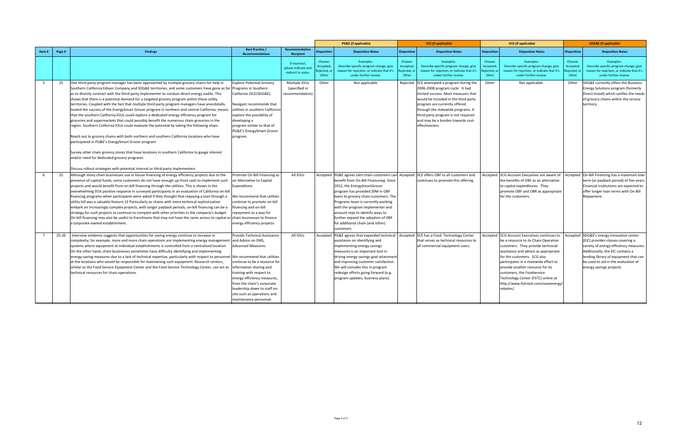|                |                                                                                                                                                                                                                                                                                                                                                                                                                                                                                                                                                                                                                                                                                                                                                                                                                                                                                                                                                                                                                                                                                                                                                                                                                                                                                                           |                                                                                                                                                                                                                                                                                                                                                |                                                            |                                             | <b>PG&amp;E</b> (if applicable)                                                                                                                                                                                                                                                                                                                                                                             |                                             | <b>SCE</b> (if applicable)                                                                                                                                                                                                                                                                                                        |                                           | <b>SCG</b> (if applicable)                                                                                                                                                                                                                                                                                                                                                                             |                                              | <b>SDG&amp;E</b> (if applicable)                                                                                                                                                                                                                                         |
|----------------|-----------------------------------------------------------------------------------------------------------------------------------------------------------------------------------------------------------------------------------------------------------------------------------------------------------------------------------------------------------------------------------------------------------------------------------------------------------------------------------------------------------------------------------------------------------------------------------------------------------------------------------------------------------------------------------------------------------------------------------------------------------------------------------------------------------------------------------------------------------------------------------------------------------------------------------------------------------------------------------------------------------------------------------------------------------------------------------------------------------------------------------------------------------------------------------------------------------------------------------------------------------------------------------------------------------|------------------------------------------------------------------------------------------------------------------------------------------------------------------------------------------------------------------------------------------------------------------------------------------------------------------------------------------------|------------------------------------------------------------|---------------------------------------------|-------------------------------------------------------------------------------------------------------------------------------------------------------------------------------------------------------------------------------------------------------------------------------------------------------------------------------------------------------------------------------------------------------------|---------------------------------------------|-----------------------------------------------------------------------------------------------------------------------------------------------------------------------------------------------------------------------------------------------------------------------------------------------------------------------------------|-------------------------------------------|--------------------------------------------------------------------------------------------------------------------------------------------------------------------------------------------------------------------------------------------------------------------------------------------------------------------------------------------------------------------------------------------------------|----------------------------------------------|--------------------------------------------------------------------------------------------------------------------------------------------------------------------------------------------------------------------------------------------------------------------------|
| Item#          | Page #<br><b>Findings</b>                                                                                                                                                                                                                                                                                                                                                                                                                                                                                                                                                                                                                                                                                                                                                                                                                                                                                                                                                                                                                                                                                                                                                                                                                                                                                 | <b>Best Practice /</b><br><b>Recommendations</b>                                                                                                                                                                                                                                                                                               | Recommendation<br>Recipient                                | <b>Disposition</b>                          | <b>Disposition Notes</b>                                                                                                                                                                                                                                                                                                                                                                                    | <b>Disposition</b>                          | <b>Disposition Notes</b>                                                                                                                                                                                                                                                                                                          | <b>Disposition</b>                        | <b>Disposition Notes</b>                                                                                                                                                                                                                                                                                                                                                                               | <b>Disposition</b>                           | <b>Disposition Notes</b>                                                                                                                                                                                                                                                 |
|                |                                                                                                                                                                                                                                                                                                                                                                                                                                                                                                                                                                                                                                                                                                                                                                                                                                                                                                                                                                                                                                                                                                                                                                                                                                                                                                           |                                                                                                                                                                                                                                                                                                                                                | If incorrect,<br>please indicate and<br>redirect in notes. | Choose:<br>Accepted<br>Rejected, o<br>Other | Examples:<br>Describe specific program change, give<br>reason for rejection, or indicate that it's<br>under further review.                                                                                                                                                                                                                                                                                 | Choose:<br>Accepted,<br>ejected, o<br>Other | Examples:<br>Describe specific program change, give<br>reason for rejection, or indicate that it's<br>under further review.                                                                                                                                                                                                       | Choose:<br>Accepted<br>Rejected,<br>Other | Examples:<br>Describe specific program change, give<br>reason for rejection, or indicate that it's<br>under further review.                                                                                                                                                                                                                                                                            | Choose:<br>Accepted,<br>Rejected, o<br>Other | Examples:<br>Describe specific program change, give<br>reason for rejection, or indicate that it's<br>under further review.                                                                                                                                              |
| 5              | One third-party program manager has been approached by multiple grocery chains for help in<br>25<br>Southern California Edison Company and SDG&E territories, and some customers have gone as far Programs in Southern<br>as to directly contract with the third-party implementer to conduct direct energy audits. This<br>shows that there is a potential demand for a targeted grocery program within those utility<br>territories. Coupled with the fact that multiple third-party program managers have anecdotally<br>touted the success of the EnergySmart Grocer program in northern and central California, means<br>that the southern California IOUs could explore a dedicated energy efficiency program for<br>groceries and supermarkets that could possibly benefit the numerous chain groceries in the<br>region. Southern California IOUs could evaluate the potential by taking the following steps:<br>Reach out to grocery chains with both northern and southern California locations who have<br>participated in PG&E's EnergySmart Grocer program<br>Survey other chain grocery stores that have locations in southern California to gauge interest<br>and/or need for dedicated grocery programs<br>Discuss rollout strategies with potential internal or third-party implementers | <b>Explore Potential Grocery</b><br>California (SCE/SDG&E).<br>Navigant recommends that<br>utilities in southern Californi<br>explore the possibility of<br>developing a<br>program similar to that of<br>PG&E's EnergySmart Grocer<br>program.                                                                                                | Multiple IOUs<br>(specified in<br>'ecommendation'          | Other                                       | Not applicable                                                                                                                                                                                                                                                                                                                                                                                              |                                             | Rejected SCE attempted a program during the<br>2006-2008 program cycle. It had<br>limited success. Most measures that<br>would be included in the third party<br>program are currently offered<br>through the statewide programs. A<br>third party program is not required<br>and may be a burden towards cost-<br>effectiveness. | Other                                     | Not applicable.                                                                                                                                                                                                                                                                                                                                                                                        | Other                                        | SDG&E currently offers the Business<br>Energy Solutions program (formerly<br>Direct Install) which satifies the needs<br>of grocery chains within the service<br>territory.                                                                                              |
|                | Although many chain businesses use in-house financing of energy efficiency projects due to the<br>25<br>presence of capital funds, some customers do not have enough up-front cash to implement such<br>projects and would benefit from on-bill financing through the utilities. This is shown in the<br>overwhelming 91% positive response in surveyed participants in an evaluation of California on-bill<br>financing programs when participants were asked if they thought that repaying a loan through a<br>utility bill was a valuable feature.13 Particularly as chains with more technical sophistication<br>embark on increasingly complex projects, with longer payback periods, on-bill financing can be a<br>strategy for such projects to continue to compete with other priorities in the company's budget.<br>On-bill financing may also be useful to franchisees that may not have the same access to capital as chain businesses to finance<br>a corporate-owned establishment.                                                                                                                                                                                                                                                                                                          | Promote On-Bill Financing as<br>an Alternative to Capital<br>Expenditure.<br>We recommend that utilities<br>continue to promote on-bill<br>inancing and on-bill<br>epayment as a way for<br>nergy efficiency projects                                                                                                                          | All IOUs                                                   |                                             | Accepted   PG&E agrees taht chain customers can<br>benefit from On-Bill Financineg. Since<br>2012, the EnergySmartGrocer<br>program has provided \$9M in OBF<br>loans to grocery chain customers. The<br>Programs team is currently working<br>with the program implementer and<br>account reps to identify ways to<br>further expand the adoption of OBF<br>for additional chain (and other)<br>customers. |                                             | Accepted SCE offers OBF to all customers and<br>continues to promote this offering.                                                                                                                                                                                                                                               |                                           | Accepted SCG Account Executives are aware of<br>the benefits of OBF as an alternative<br>to capital expenditures. They<br>promote OBF and OBR as appropriate<br>for the customers.                                                                                                                                                                                                                     |                                              | Accepted On-Bill Financing has a maximum loan<br>term (or payback period) of five years.<br>Financial institutions are expected to<br>offer longer loan terms with On-Bill<br>Repayment.                                                                                 |
| $\overline{7}$ | $25 - 26$<br>Interview evidence suggests that opportunities for saving energy continue to increase in<br>complexity; for example, more and more chain operations are implementing energy management and Advice on EMS,<br>systems where equipment at individual establishments is controlled from a centralized location.<br>On the other hand, chain businesses sometimes have difficulty identifying and implementing<br>energy-saving measures due to a lack of technical expertise, particularly with respect to personnel<br>at the locations who would be responsible for maintaining such equipment. Research centers,<br>similar to the Food Service Equipment Center and the Food Service Technology Center, can act as<br>technical resources for chain operations.                                                                                                                                                                                                                                                                                                                                                                                                                                                                                                                             | <b>Provide Technical Assistance</b><br><b>Advanced Measures.</b><br>We recommend that utilities<br>continue to be a resource for:<br>information sharing and<br>training with respect to<br>energy efficiency measures,<br>from the chain's corporate<br>leadership down to staff on-<br>site such as operations and<br>maintenance personnel. | All IOUs                                                   | Accepted                                    | PG&E agrees that expanded technical<br>assistance on identifying and<br>implementing energy savings<br>measures is an important tool in<br>driving energy savings goal attainment<br>and improving customer satisfaction.<br>We will consider this in program<br>redesign efforts going forward (e.g.<br>program updates, business plans).                                                                  |                                             | Accepted SCE has a Food Technology Center<br>that serves as technical resources to<br>all commercial equipment users.                                                                                                                                                                                                             |                                           | Accepted SCG Account Executives continues to<br>be a resource to its Chain Operation<br>customers. They provide technicial<br>assistance and advice as appropriate<br>for the customers. SCG also<br>participates in a statewide effort to<br>provide another resource for its<br>customers, the Foodservice<br>Technology Center (FSTC) online at<br>http://www.fishnick.com/saveenergy/<br>rebates/. |                                              | Accepted SDG&E's energy innovation center<br>(EIC) provides classes covering a<br>variety of energy efficiency measures.<br>Additionally, the EIC contains a<br>lending library of equipment that can<br>be used to aid in the evaluation of<br>energy savings projects. |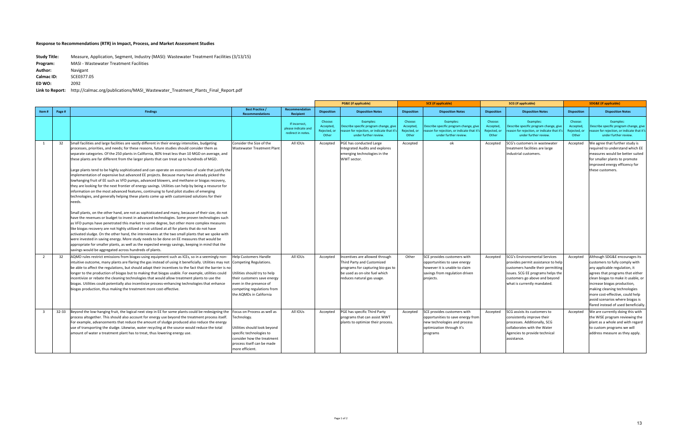|                                  |                                                                                                                                                                                                                                                                                                                                                                                                                                                                                                                                                                                                                                                                                                                                                                                                                                                                                                                                                                                                                                                                                                                                                                                                                                                                                                                                                                                                                                                                                                                                                                                                                                                                                                                                                                                         |                                                                                                                                                                                                           |                                                            |                                               | <b>PG&amp;E</b> (if applicable)                                                                                                                                  |                                               | <b>SCE</b> (if applicable)                                                                                                                  |                                              | <b>SCG</b> (if applicable)                                                                                                                                                                                           |                                               | <b>SDG&amp;E</b> (if applicable)                                                                                                                                                                                                                                                                                                                        |
|----------------------------------|-----------------------------------------------------------------------------------------------------------------------------------------------------------------------------------------------------------------------------------------------------------------------------------------------------------------------------------------------------------------------------------------------------------------------------------------------------------------------------------------------------------------------------------------------------------------------------------------------------------------------------------------------------------------------------------------------------------------------------------------------------------------------------------------------------------------------------------------------------------------------------------------------------------------------------------------------------------------------------------------------------------------------------------------------------------------------------------------------------------------------------------------------------------------------------------------------------------------------------------------------------------------------------------------------------------------------------------------------------------------------------------------------------------------------------------------------------------------------------------------------------------------------------------------------------------------------------------------------------------------------------------------------------------------------------------------------------------------------------------------------------------------------------------------|-----------------------------------------------------------------------------------------------------------------------------------------------------------------------------------------------------------|------------------------------------------------------------|-----------------------------------------------|------------------------------------------------------------------------------------------------------------------------------------------------------------------|-----------------------------------------------|---------------------------------------------------------------------------------------------------------------------------------------------|----------------------------------------------|----------------------------------------------------------------------------------------------------------------------------------------------------------------------------------------------------------------------|-----------------------------------------------|---------------------------------------------------------------------------------------------------------------------------------------------------------------------------------------------------------------------------------------------------------------------------------------------------------------------------------------------------------|
| Page #<br>Item#                  | <b>Findings</b>                                                                                                                                                                                                                                                                                                                                                                                                                                                                                                                                                                                                                                                                                                                                                                                                                                                                                                                                                                                                                                                                                                                                                                                                                                                                                                                                                                                                                                                                                                                                                                                                                                                                                                                                                                         | <b>Best Practice /</b><br><b>Recommendations</b>                                                                                                                                                          | Recommendation<br>Recipient                                | <b>Disposition</b>                            | <b>Disposition Notes</b>                                                                                                                                         | <b>Disposition</b>                            | <b>Disposition Notes</b>                                                                                                                    | <b>Disposition</b>                           | <b>Disposition Notes</b>                                                                                                                                                                                             | <b>Disposition</b>                            | <b>Disposition Notes</b>                                                                                                                                                                                                                                                                                                                                |
|                                  |                                                                                                                                                                                                                                                                                                                                                                                                                                                                                                                                                                                                                                                                                                                                                                                                                                                                                                                                                                                                                                                                                                                                                                                                                                                                                                                                                                                                                                                                                                                                                                                                                                                                                                                                                                                         |                                                                                                                                                                                                           | If incorrect,<br>please indicate and<br>redirect in notes. | Choose:<br>Accepted,<br>Rejected, or<br>Other | Examples:<br>Describe specific program change, give<br>eason for rejection, or indicate that it<br>under further review.                                         | Choose:<br>Accepted,<br>Rejected, or<br>Other | Examples:<br>Describe specific program change, give<br>eason for rejection, or indicate that it<br>under further review.                    | Choose:<br>Accepted<br>Rejected, or<br>Other | Examples:<br>Describe specific program change, give<br>eason for rejection, or indicate that it'<br>under further review.                                                                                            | Choose:<br>Accepted,<br>Rejected, or<br>Other | Examples:<br>Describe specific program change, give<br>reason for rejection, or indicate that it's<br>under further review.                                                                                                                                                                                                                             |
| 1<br>32                          | Small facilities and large facilities are vastly different in their energy intensities, budgeting<br>processes, priorities, and needs; for these reasons, future studies should consider them as<br>separate categories. Of the 250 plants in California, 80% treat less than 10 MGD on average, and<br>these plants are far different from the larger plants that can treat up to hundreds of MGD.<br>Large plants tend to be highly sophisticated and can operate on economies of scale that justify the<br>implementation of expensive but advanced EE projects. Because many have already picked the<br>lowhanging fruit of EE such as VFD pumps, advanced blowers, and methane or biogas recovery,<br>they are looking for the next frontier of energy savings. Utilities can help by being a resource for<br>information on the most advanced features, continuing to fund pilot studies of emerging<br>technologies, and generally helping these plants come up with customized solutions for their<br>needs.<br>Small plants, on the other hand, are not as sophisticated and many, because of their size, do not<br>have the revenues or budget to invest in advanced technologies. Some proven technologies such<br>as VFD pumps have penetrated this market to some degree, but other more complex measures<br>like biogas recovery are not highly utilized or not utilized at all for plants that do not have<br>activated sludge. On the other hand, the interviewees at the two small plants that we spoke with<br>were invested in saving energy. More study needs to be done on EE measures that would be<br>appropriate for smaller plants, as well as the expected energy savings, keeping in mind that the<br>savings would be aggregated across hundreds of plants. | Consider the Size of the<br>Wastewater Treatment Plant                                                                                                                                                    | All IOUs                                                   | Accepted                                      | PGE has conducted Large<br>ntegrated Audits and explores<br>emerging technologies in the<br>WWT sector.                                                          | Accepted                                      | ok                                                                                                                                          | Accepted                                     | SCG's customers in wastewater<br>treatment facilities are large<br>industrial customers.                                                                                                                             | Accepted                                      | We agree that further study is<br>required to understand which EE<br>measures would be better suited<br>for smaller plants to promote<br>improved energy efficency for<br>these customers.                                                                                                                                                              |
| 32<br>$\overline{2}$             | AQMD rules restrict emissions from biogas-using equipment such as ICEs, so in a seemingly non-<br>intuitive outcome, many plants are flaring the gas instead of using it beneficially. Utilities may not<br>be able to affect the regulations, but should adapt their incentives to the fact that the barrier is no<br>longer to the production of biogas but to making that biogas usable. For example, utilities could<br>incentivize or rebate the cleaning technologies that would allow treatment plants to use the<br>biogas. Utilities could potentially also incentivize process-enhancing technologies that enhance<br>biogas production, thus making the treatment more cost-effective.                                                                                                                                                                                                                                                                                                                                                                                                                                                                                                                                                                                                                                                                                                                                                                                                                                                                                                                                                                                                                                                                                       | <b>Help Customers Handle</b><br>Competing Regulations.<br>Utilities should try to help<br>their customers save energy<br>even in the presence of<br>competing regulations from<br>the AQMDs in California | All IOUs                                                   | Accepted                                      | Incentives are allowed through<br>Third Party and Customized<br>programs for capturing bio-gas to<br>be used as on-site fuel which<br>reduces natural gas usage. | Other                                         | SCE provides customers with<br>opportunities to save energy<br>however it is unable to claim<br>savings from regulation driven<br>projects. | Accepted                                     | <b>SCG's Environomental Services</b><br>provides permit assistance to help<br>customers handle their permitting<br>issues. SCG EE programs helps the<br>customers go above and beyond<br>what is currently mandated. | Accepted                                      | Although SDG&E encourages its<br>customers to fully comply with<br>any applicable regulation, it<br>agrees that programs that either<br>clean biogas to make it usable, or<br>increase biogas production,<br>making cleaning technologies<br>more cost-effective, could help<br>avoid scenarios where biogas is<br>flared instead of used beneficially. |
| $\overline{\mathbf{3}}$<br>32-33 | Beyond the low-hanging fruit, the logical next step in EE for some plants could be redesigning the<br>process altogether. This should also account for energy use beyond the treatment process itself.<br>For example, advancements that reduce the amount of sludge produced also reduce the energy<br>use of transporting the sludge. Likewise, water recycling at the source would reduce the total<br>amount of water a treatment plant has to treat, thus lowering energy use.                                                                                                                                                                                                                                                                                                                                                                                                                                                                                                                                                                                                                                                                                                                                                                                                                                                                                                                                                                                                                                                                                                                                                                                                                                                                                                     | Focus on Process as well as<br>echnology.<br>Utilities should look beyond<br>specific technologies to<br>consider how the treatment<br>process itself can be made<br>more efficient.                      | All IOUs                                                   | Accepted                                      | PGE has specific Third Party<br>programs that can assist WWT<br>plants to optimize their process.                                                                | Accepted                                      | SCE provides customers with<br>opportunities to save energy from<br>new technologies and process<br>optimization through it's<br>programs   | Accepted                                     | SCG assists its customers to<br>consistently improve their<br>processes. Additionally, SCG<br>collaborates with the Water<br>Agencies to provide technical<br>assistance.                                            | Accepted                                      | We are currently doing this with<br>the WISE program reviewing the<br>plant as a whole and with regard<br>to custom programs we will<br>address measure as they apply.                                                                                                                                                                                  |

| <b>Study Title:</b> | Measure, Application, Segment, Industry (MASI): Wastewater Treatment Facilities (3/13/15) |
|---------------------|-------------------------------------------------------------------------------------------|
| Program:            | <b>MASI</b> - Wastewater Treatment Facilities                                             |
| Author:             | Navigant                                                                                  |
| <b>Calmac ID:</b>   | SCE0377.05                                                                                |
| ED WO:              | 2092                                                                                      |
| Link to Report:     | http://calmac.org/publications/MASI Wastewater Treatment Plants Final Report.pdf          |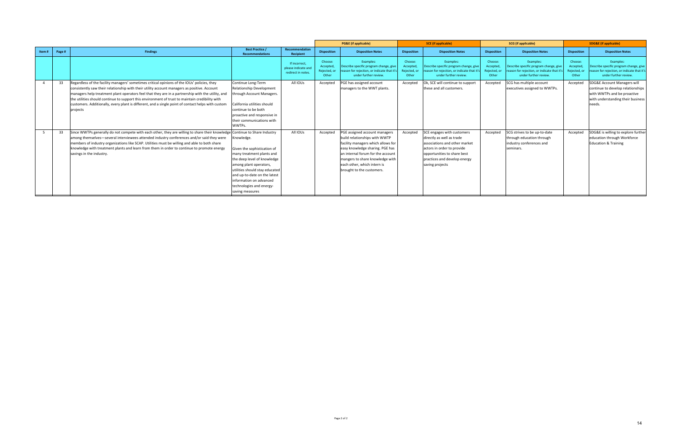|       |        |                                                                                                                                                                                                                                                                                                                                                                                                                                                                                                                        |                                                                                                                                                                                                                                                                             |                                                           |                                               | <b>PG&amp;E</b> (if applicable)                                                                                                                                                                                                                                              |                                               | <b>SCE</b> (if applicable)                                                                                                                                                                               |                                               | <b>SCG</b> (if applicable)                                                                                                 |                                               | <b>SDG&amp;E</b> (if applicable)                                                                                                                          |
|-------|--------|------------------------------------------------------------------------------------------------------------------------------------------------------------------------------------------------------------------------------------------------------------------------------------------------------------------------------------------------------------------------------------------------------------------------------------------------------------------------------------------------------------------------|-----------------------------------------------------------------------------------------------------------------------------------------------------------------------------------------------------------------------------------------------------------------------------|-----------------------------------------------------------|-----------------------------------------------|------------------------------------------------------------------------------------------------------------------------------------------------------------------------------------------------------------------------------------------------------------------------------|-----------------------------------------------|----------------------------------------------------------------------------------------------------------------------------------------------------------------------------------------------------------|-----------------------------------------------|----------------------------------------------------------------------------------------------------------------------------|-----------------------------------------------|-----------------------------------------------------------------------------------------------------------------------------------------------------------|
| Item# | Page # | <b>Findings</b>                                                                                                                                                                                                                                                                                                                                                                                                                                                                                                        | <b>Best Practice /</b><br><b>Recommendations</b>                                                                                                                                                                                                                            | <b>Recommendation</b><br>Recipient                        | <b>Disposition</b>                            | <b>Disposition Notes</b>                                                                                                                                                                                                                                                     | <b>Disposition</b>                            | <b>Disposition Notes</b>                                                                                                                                                                                 | <b>Disposition</b>                            | <b>Disposition Notes</b>                                                                                                   | <b>Disposition</b>                            | <b>Disposition Notes</b>                                                                                                                                  |
|       |        |                                                                                                                                                                                                                                                                                                                                                                                                                                                                                                                        |                                                                                                                                                                                                                                                                             | If incorrect<br>please indicate and<br>redirect in notes. | Choose:<br>Accepted,<br>Rejected, or<br>Other | Examples:<br>Describe specific program change, give<br>eason for rejection, or indicate that it<br>under further review.                                                                                                                                                     | Choose:<br>Accepted,<br>Rejected, or<br>Other | Examples:<br>Describe specific program change, give<br>reason for rejection, or indicate that it's<br>under further review.                                                                              | Choose:<br>Accepted,<br>Rejected, or<br>Other | Examples:<br>Describe specific program change, give<br>eason for rejection, or indicate that it's<br>under further review. | Choose:<br>Accepted,<br>Rejected, or<br>Other | Examples:<br>Describe specific program change, give<br>reason for rejection, or indicate that it's<br>under further review.                               |
|       | 33     | Regardless of the facility managers' sometimes critical opinions of the IOUs' policies, they<br>consistently saw their relationship with their utility account managers as positive. Account<br>managers help treatment plant operators feel that they are in a partnership with the utility, and<br>the utilities should continue to support this environment of trust to maintain credibility with<br>customers. Additionally, every plant is different, and a single point of contact helps with custom<br>projects | Continue Long-Term<br><b>Relationship Development</b><br>through Account Managers.<br>California utilities should<br>continue to be both<br>proactive and responsive in<br>their communications with<br>WWTPs.                                                              | All IOUs                                                  | Accepted                                      | PGE has assigned account<br>managers to the WWT plants.                                                                                                                                                                                                                      | Accepted                                      | Ok, SCE will continue to support<br>these and all customers.                                                                                                                                             | Accepted                                      | SCG has multiple account<br>executives assigned to WWTPs.                                                                  | Accepted                                      | <b>SDG&amp;E Account Managers will</b><br>continue to develop relationships<br>with WWTPs and be proactive<br>with understanding their business<br>needs. |
|       | 33     | Since WWTPs generally do not compete with each other, they are willing to share their knowledge Continue to Share Industry<br>among themselves—several interviewees attended industry conferences and/or said they were<br>members of industry organizations like SCAP. Utilities must be willing and able to both share<br>knowledge with treatment plants and learn from them in order to continue to promote energy<br>savings in the industry.                                                                     | Knowledge.<br>Given the sophistication of<br>many treatment plants and<br>the deep level of knowledge<br>among plant operators,<br>utilities should stay educated<br>and up-to-date on the latest<br>information on advanced<br>technologies and energy-<br>saving measures | All IOUs                                                  | Accepted                                      | PGE assigned account managers<br>build relationships with WWTP<br>facility managers which allows for<br>easy knowledge sharing. PGE has<br>an internal forum for the account<br>mangers to share knowledge with<br>leach other, which intern is<br>brought to the customers. | Accepted                                      | SCE engages with customers<br>directly as well as trade<br>associations and other market<br>actors in order to provide<br>opportunities to share best<br>practices and develop energy<br>saving projects | Accepted                                      | SCG strives to be up-to-date<br>through education through<br>industry conferences and<br>seminars.                         | Accepted                                      | SDG&E is willing to explore further<br>education through Workforce<br><b>Education &amp; Training</b>                                                     |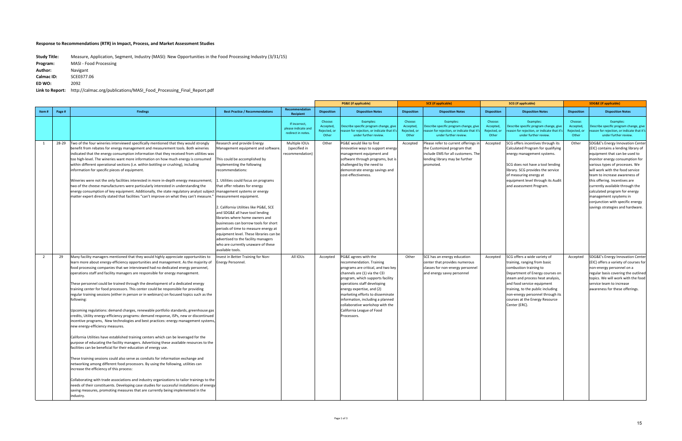|                |        |                                                                                                                                                                                                                                                                                                                                                                                                                                                                                                                                                                                                                                                                                                                                                                                                                                                                                                                                                                                                                                                                                                                                                                                                                                                                                                                                                                                                                                                                                                                                                                                                                                                                                                                             |                                                                                                                                                                                                                                                                                                                                                                                                                                                                                                                                                                                                 |                                                            |                                               | <b>PG&amp;E</b> (if applicable)                                                                                                                                                                                                                                                                                                                                               | <b>SCE</b> (if applicable)<br><b>SCG</b> (if applicable) |                                                                                                                                                          | <b>SDG&amp;E</b> (if applicable)              |                                                                                                                                                                                                                                                                                                                         |                                               |                                                                                                                                                                                                                                                                                                                                                                                                                                                         |
|----------------|--------|-----------------------------------------------------------------------------------------------------------------------------------------------------------------------------------------------------------------------------------------------------------------------------------------------------------------------------------------------------------------------------------------------------------------------------------------------------------------------------------------------------------------------------------------------------------------------------------------------------------------------------------------------------------------------------------------------------------------------------------------------------------------------------------------------------------------------------------------------------------------------------------------------------------------------------------------------------------------------------------------------------------------------------------------------------------------------------------------------------------------------------------------------------------------------------------------------------------------------------------------------------------------------------------------------------------------------------------------------------------------------------------------------------------------------------------------------------------------------------------------------------------------------------------------------------------------------------------------------------------------------------------------------------------------------------------------------------------------------------|-------------------------------------------------------------------------------------------------------------------------------------------------------------------------------------------------------------------------------------------------------------------------------------------------------------------------------------------------------------------------------------------------------------------------------------------------------------------------------------------------------------------------------------------------------------------------------------------------|------------------------------------------------------------|-----------------------------------------------|-------------------------------------------------------------------------------------------------------------------------------------------------------------------------------------------------------------------------------------------------------------------------------------------------------------------------------------------------------------------------------|----------------------------------------------------------|----------------------------------------------------------------------------------------------------------------------------------------------------------|-----------------------------------------------|-------------------------------------------------------------------------------------------------------------------------------------------------------------------------------------------------------------------------------------------------------------------------------------------------------------------------|-----------------------------------------------|---------------------------------------------------------------------------------------------------------------------------------------------------------------------------------------------------------------------------------------------------------------------------------------------------------------------------------------------------------------------------------------------------------------------------------------------------------|
| Item#          | Page # | <b>Findings</b>                                                                                                                                                                                                                                                                                                                                                                                                                                                                                                                                                                                                                                                                                                                                                                                                                                                                                                                                                                                                                                                                                                                                                                                                                                                                                                                                                                                                                                                                                                                                                                                                                                                                                                             | <b>Best Practice / Recommendations</b>                                                                                                                                                                                                                                                                                                                                                                                                                                                                                                                                                          | Recommendation<br>Recipient                                | <b>Disposition</b>                            | <b>Disposition Notes</b>                                                                                                                                                                                                                                                                                                                                                      | <b>Disposition</b>                                       | <b>Disposition Notes</b>                                                                                                                                 | <b>Disposition</b>                            | <b>Disposition Notes</b>                                                                                                                                                                                                                                                                                                | <b>Disposition</b>                            | <b>Disposition Notes</b>                                                                                                                                                                                                                                                                                                                                                                                                                                |
|                |        |                                                                                                                                                                                                                                                                                                                                                                                                                                                                                                                                                                                                                                                                                                                                                                                                                                                                                                                                                                                                                                                                                                                                                                                                                                                                                                                                                                                                                                                                                                                                                                                                                                                                                                                             |                                                                                                                                                                                                                                                                                                                                                                                                                                                                                                                                                                                                 | If incorrect,<br>please indicate and<br>redirect in notes. | Choose:<br>Accepted,<br>Rejected, or<br>Other | Examples:<br>Describe specific program change, give<br>eason for rejection, or indicate that it':<br>under further review.                                                                                                                                                                                                                                                    | Choose:<br>Accepted,<br>Rejected, or<br>Other            | Examples:<br>Describe specific program change, give<br>eason for rejection, or indicate that it's<br>under further review.                               | Choose:<br>Accepted,<br>Rejected, or<br>Other | Examples:<br>Describe specific program change, give<br>eason for rejection, or indicate that it's<br>under further review.                                                                                                                                                                                              | Choose:<br>Accepted,<br>Rejected, or<br>Other | Examples:<br>Describe specific program change, give<br>reason for rejection, or indicate that it's<br>under further review.                                                                                                                                                                                                                                                                                                                             |
| -1             | 28-29  | Two of the four wineries interviewed specifically mentioned that they would strongly<br>benefit from rebates for energy management and measurement tools. Both wineries<br>indicated that the energy consumption information that they received from utilities was<br>too high-level. The wineries want more information on how much energy is consumed<br>within different operational sections (i.e. within bottling or crushing), including<br>information for specific pieces of equipment.<br>Wineries were not the only facilities interested in more in-depth energy measurement;<br>two of the cheese manufacturers were particularly interested in understanding the<br>energy consumption of key equipment. Additionally, the state regulatory analyst subject management systems or energy<br>matter expert directly stated that facilities "can't improve on what they can't measure."                                                                                                                                                                                                                                                                                                                                                                                                                                                                                                                                                                                                                                                                                                                                                                                                                          | Research and provide Energy<br>Management equipment and software.<br>his could be accomplished by<br>mplementing the following<br>recommendations:<br>Utilities could focus on programs<br>that offer rebates for energy<br>measurement equipment.<br>2. California Utilities like PG&E, SCE<br>and SDG&E all have tool lending<br>libraries where home owners and<br>businesses can borrow tools for short<br>periods of time to measure energy at<br>equipment level. These libraries can be<br>advertised to the facility managers<br>who are currently unaware of these<br>available tools. | Multiple IOUs<br>(specified in<br>ecommendation)           | Other                                         | PG&E would like to find<br>innovative ways to support energy<br>management equipment and<br>software through programs, but is<br>challenged by the need to<br>demonstrate energy savings and<br>cost-effectiveness.                                                                                                                                                           | Accepted                                                 | Please refer to current offerings in<br>the Customized program that<br>include EMS for all customers. The<br>lending library may be further<br>promoted. | Accepted                                      | SCG offers incentives through its<br>Calculated Program for qualifying<br>energy management systems.<br>SCG does not have a tool lending<br>library. SCG provides the service<br>of measuring energy at<br>equipment level through its Audit<br>and assessment Program.                                                 | Other                                         | SDG&E's Energy Innovation Center<br>(EIC) contains a lending library of<br>equipment that can be used to<br>monitor energy consumption for<br>various types of processes. We<br>will work with the food service<br>team to increase awareness of<br>this offering. Incentives are<br>currently available through the<br>calculated program for energy<br>management sysytems in<br>conjunction with specific energy<br>savings strategies and hardware. |
| $\overline{2}$ | 29     | Many facility managers mentioned that they would highly appreciate opportunities to<br>learn more about energy-efficiency opportunities and management. As the majority of<br>food processing companies that we interviewed had no dedicated energy personnel,<br>operations staff and facility managers are responsible for energy management.<br>These personnel could be trained through the development of a dedicated energy<br>training center for food processors. This center could be responsible for providing<br>regular training sessions (either in person or in webinars) on focused topics such as the<br>following:<br>Upcoming regulations: demand charges, renewable portfolio standards, greenhouse gas<br>credits, Utility energy-efficiency programs: demand response, ISPs, new or discontinued<br>incentive programs, New technologies and best practices: energy management systems,<br>new energy-efficiency measures.<br>California Utilities have established training centers which can be leveraged for the<br>purpose of educating the facility managers. Advertising these available resources to the<br>facilities can be beneficial for their education of energy use.<br>These training sessions could also serve as conduits for information exchange and<br>networking among different food processors. By using the following, utilities can<br>increase the efficiency of this process:<br>Collaborating with trade associations and industry organizations to tailor trainings to the<br>needs of their constituents. Developing case studies for successful installations of energy<br>saving measures, promoting measures that are currently being implemented in the<br>industry. | nvest in Better Training for Non-<br>Energy Personnel.                                                                                                                                                                                                                                                                                                                                                                                                                                                                                                                                          | All IOUs                                                   | Accepted                                      | PG&E agrees with the<br>recommendation. Training<br>programs are critical, and two key<br>channels are (1) via the CEI<br>program, which supports facility<br>operations staff developing<br>energy expertise, and (2)<br>marketing efforts to disseminate<br>information, including a planned<br>collaborative workshop with the<br>California League of Food<br>Processors. | Other                                                    | SCE has an energy education<br>center that provides numerous<br>classes for non-energy personnel<br>and energy savvy personnel                           | Accepted                                      | SCG offers a wide variety of<br>training, ranging from basic<br>combustion training to<br>Department of Energy courses on<br>steam and process heat analysis,<br>and food service equipment<br>training, to the public including<br>non-energy personnel through its<br>courses at the Energy Resource<br>Center (ERC). | Accepted                                      | SDG&E's Energy Innovation Center<br>(EIC) offers a variety of courses for<br>non-energy personnel on a<br>regular basis covering the outlined<br>topics. We will work with the food<br>service team to increase<br>awareness for these offerings.                                                                                                                                                                                                       |

| <b>Study Title:</b> | Measure, Application, Segment, Industry (MASI): New Opportunities in the Food Processing Industry (3/31/15) |
|---------------------|-------------------------------------------------------------------------------------------------------------|
| Program:            | <b>MASI - Food Processing</b>                                                                               |
| Author:             | Navigant                                                                                                    |
| <b>Calmac ID:</b>   | SCE0377.06                                                                                                  |
| ED WO:              | 2092                                                                                                        |
| Link to Report:     | http://calmac.org/publications/MASI Food Processing Final Report.pdf                                        |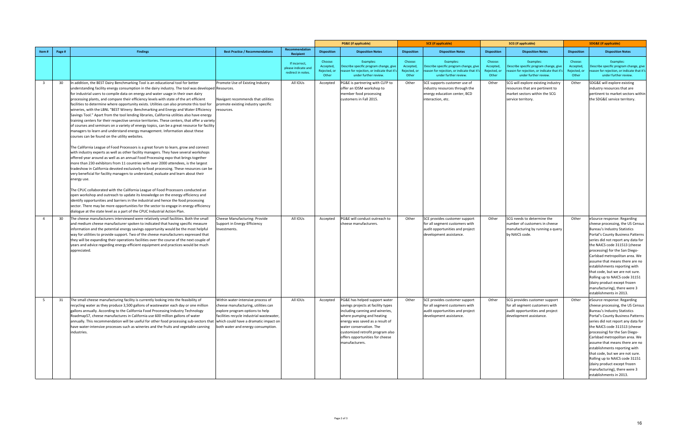|                         |        |                                                                                                                                                                                                                                                                                                                                                                                                                                                                                                                                                                                                                                                                                                                                                                                                                                                                                                                                                                                                                                                                                                                                                                                                                                                                                                                                                                                                                                                                                                                                                                                                                                                                                                                                                                                                                      |                                                                                                                                                                                                |                                                            |                                               | <b>PG&amp;E</b> (if applicable)                                                                                                                                                                                                                                                            | <b>SCE</b> (if applicable)                    |                                                                                                                               | <b>SCG</b> (if applicable)                   |                                                                                                                               | <b>SDG&amp;E</b> (if applicable)              |                                                                                                                                                                                                                                                                                                                                                                                                                                                                                                                           |
|-------------------------|--------|----------------------------------------------------------------------------------------------------------------------------------------------------------------------------------------------------------------------------------------------------------------------------------------------------------------------------------------------------------------------------------------------------------------------------------------------------------------------------------------------------------------------------------------------------------------------------------------------------------------------------------------------------------------------------------------------------------------------------------------------------------------------------------------------------------------------------------------------------------------------------------------------------------------------------------------------------------------------------------------------------------------------------------------------------------------------------------------------------------------------------------------------------------------------------------------------------------------------------------------------------------------------------------------------------------------------------------------------------------------------------------------------------------------------------------------------------------------------------------------------------------------------------------------------------------------------------------------------------------------------------------------------------------------------------------------------------------------------------------------------------------------------------------------------------------------------|------------------------------------------------------------------------------------------------------------------------------------------------------------------------------------------------|------------------------------------------------------------|-----------------------------------------------|--------------------------------------------------------------------------------------------------------------------------------------------------------------------------------------------------------------------------------------------------------------------------------------------|-----------------------------------------------|-------------------------------------------------------------------------------------------------------------------------------|----------------------------------------------|-------------------------------------------------------------------------------------------------------------------------------|-----------------------------------------------|---------------------------------------------------------------------------------------------------------------------------------------------------------------------------------------------------------------------------------------------------------------------------------------------------------------------------------------------------------------------------------------------------------------------------------------------------------------------------------------------------------------------------|
| Item#                   | Page # | <b>Findings</b>                                                                                                                                                                                                                                                                                                                                                                                                                                                                                                                                                                                                                                                                                                                                                                                                                                                                                                                                                                                                                                                                                                                                                                                                                                                                                                                                                                                                                                                                                                                                                                                                                                                                                                                                                                                                      | <b>Best Practice / Recommendations</b>                                                                                                                                                         | <b>Recommendation</b><br><b>Recipient</b>                  | <b>Disposition</b>                            | <b>Disposition Notes</b>                                                                                                                                                                                                                                                                   | <b>Disposition</b>                            | <b>Disposition Notes</b>                                                                                                      | <b>Disposition</b>                           | <b>Disposition Notes</b>                                                                                                      | <b>Disposition</b>                            | <b>Disposition Notes</b>                                                                                                                                                                                                                                                                                                                                                                                                                                                                                                  |
|                         |        |                                                                                                                                                                                                                                                                                                                                                                                                                                                                                                                                                                                                                                                                                                                                                                                                                                                                                                                                                                                                                                                                                                                                                                                                                                                                                                                                                                                                                                                                                                                                                                                                                                                                                                                                                                                                                      |                                                                                                                                                                                                | If incorrect,<br>please indicate and<br>redirect in notes. | Choose:<br>Accepted,<br>Rejected, or<br>Other | Examples:<br>Describe specific program change, give<br>eason for rejection, or indicate that it'<br>under further review.                                                                                                                                                                  | Choose:<br>Accepted,<br>Rejected, or<br>Other | Examples:<br>Describe specific program change, give<br>reason for rejection, or indicate that it'<br>under further review.    | Choose:<br>Accepted<br>Rejected, or<br>Other | Examples:<br>Describe specific program change, give<br>eason for rejection, or indicate that it':<br>under further review.    | Choose:<br>Accepted,<br>Rejected, or<br>Other | Examples:<br>Describe specific program change, give<br>reason for rejection, or indicate that it's<br>under further review.                                                                                                                                                                                                                                                                                                                                                                                               |
| $\overline{\mathbf{3}}$ | 30     | In addition, the BEST Dairy Benchmarking Tool is an educational tool for better<br>understanding facility energy consumption in the dairy industry. The tool was developed Resources.<br>for industrial users to compile data on energy and water usage in their own dairy<br>processing plants, and compare their efficiency levels with state of the art efficient<br>facilities to determine where opportunity exists. Utilities can also promote this tool for<br>wineries, with the LBNL "BEST Winery: Benchmarking and Energy and Water Efficiency<br>Savings Tool." Apart from the tool lending libraries, California utilities also have energy<br>training centers for their respective service territories. These centers, that offer a variety<br>of courses and seminars on a variety of energy topics, can be a great resource for facility<br>managers to learn and understand energy management. Information about these<br>courses can be found on the utility websites.<br>The California League of Food Processors is a great forum to learn, grow and connect<br>with industry experts as well as other facility managers. They have several workshops<br>offered year around as well as an annual Food Processing expo that brings together<br>more than 230 exhibitors from 11 countries with over 2000 attendees, is the largest<br>tradeshow in California devoted exclusively to food processing. These resources can be<br>very beneficial for facility managers to understand, evaluate and learn about their<br>energy use.<br>The CPUC collaborated with the California League of Food Processors conducted an<br>open workshop and outreach to update its knowledge on the energy efficiency and<br>identify opportunities and barriers in the industrial and hence the food processing | Promote Use of Existing Industry<br>Navigant recommends that utilities<br>promote existing industry specific<br>resources.                                                                     | All IOUs                                                   | Accepted                                      | PG&E is partnering with CLFP to<br>offer an IDSM workshop to<br>member food processing<br>customers in Fall 2015.                                                                                                                                                                          | Other                                         | SCE supports customer use of<br>industry resources through the<br>energy education center, BCD<br>interaction, etc.           | Other                                        | SCG will explore existing industry<br>resources that are pertinent to<br>market sectors within the SCG<br>service territory.  | Other                                         | SDG&E will explore existing<br>industry resources that are<br>pertinent to market sectors within<br>the SDG&E service territory.                                                                                                                                                                                                                                                                                                                                                                                          |
|                         |        | sector. There may be more opportunities for the sector to engage in energy efficiency<br>dialogue at the state level as a part of the CPUC Industrial Action Plan.                                                                                                                                                                                                                                                                                                                                                                                                                                                                                                                                                                                                                                                                                                                                                                                                                                                                                                                                                                                                                                                                                                                                                                                                                                                                                                                                                                                                                                                                                                                                                                                                                                                   |                                                                                                                                                                                                |                                                            |                                               |                                                                                                                                                                                                                                                                                            |                                               |                                                                                                                               |                                              |                                                                                                                               |                                               |                                                                                                                                                                                                                                                                                                                                                                                                                                                                                                                           |
| $\overline{4}$          | 30     | The cheese manufacturers interviewed were relatively small facilities. Both the small<br>and medium cheese manufacturer spoken to indicated that having specific measure<br>information and the potential energy savings opportunity would be the most helpful<br>way for utilities to provide support. Two of the cheese manufacturers expressed that<br>they will be expanding their operations facilities over the course of the next couple of<br>years and advice regarding energy-efficient equipment and practices would be much<br>appreciated.                                                                                                                                                                                                                                                                                                                                                                                                                                                                                                                                                                                                                                                                                                                                                                                                                                                                                                                                                                                                                                                                                                                                                                                                                                                              | Cheese Manufacturing: Provide<br>Support in Energy-Efficiency<br>nvestments.                                                                                                                   | All IOUs                                                   | Accepted                                      | PG&E will conduct outreach to<br>cheese manufacturers                                                                                                                                                                                                                                      | Other                                         | SCE provides customer support<br>for all segment customers with<br>audit opportunities and project<br>development assistance  | Other                                        | SCG needs to determine the<br>number of customers in cheese<br>manufacturing by running a query<br>by NAICS code.             | Other                                         | eSource response: Regarding<br>cheese processing, the US Census<br><b>Bureau's Industry Statistics</b><br>Portal's County Business Patterns<br>series did not report any data for<br>the NAICS code 311513 (cheese<br>processing) for the San Diego-<br>Carlsbad metropolitan area. We<br>assume that means there are no<br>establishments reporting with<br>that code, but we are not sure.<br>Rolling up to NAICS code 31151<br>(dairy product except frozen<br>manufacturing), there were 3<br>establishments in 2013. |
| -5                      | 31     | The small cheese manufacturing facility is currently looking into the feasibility of<br>recycling water as they produce 3,500 gallons of wastewater each day or one million<br>gallons annually. According to the California Food Processing Industry Technology<br>Roadmap57, cheese manufactures in California use 600 million gallons of water<br>annually. This recommendation will be useful for other food processing sub-sectors that which could have a dramatic impact on<br>have water-intensive processes such as wineries and the fruits and vegetable canning<br>industries.                                                                                                                                                                                                                                                                                                                                                                                                                                                                                                                                                                                                                                                                                                                                                                                                                                                                                                                                                                                                                                                                                                                                                                                                                            | Within water-intensive process of<br>cheese manufacturing, utilities can<br>explore program options to help<br>facilities recycle industrial wastewater,<br>both water and energy consumption. | All IOUs                                                   | Accepted                                      | PG&E has helped support water<br>savings projects at facility types<br>including canning and wineries,<br>where pumping and heating<br>energy was saved as a result of<br>water conservation. The<br>customized retrofit program also<br>offers opportunities for cheese<br>manufacturers. | Other                                         | SCE provides customer support<br>for all segment customers with<br>audit opportunities and project<br>development assistance. | Other                                        | SCG provides customer support<br>for all segment customers with<br>audit opportunities and project<br>development assistance. | Other                                         | eSource response: Regarding<br>cheese processing, the US Census<br><b>Bureau's Industry Statistics</b><br>Portal's County Business Patterns<br>series did not report any data for<br>the NAICS code 311513 (cheese<br>processing) for the San Diego-<br>Carlsbad metropolitan area. We<br>assume that means there are no<br>establishments reporting with<br>that code, but we are not sure.<br>Rolling up to NAICS code 31151<br>(dairy product except frozen<br>manufacturing), there were 3<br>establishments in 2013. |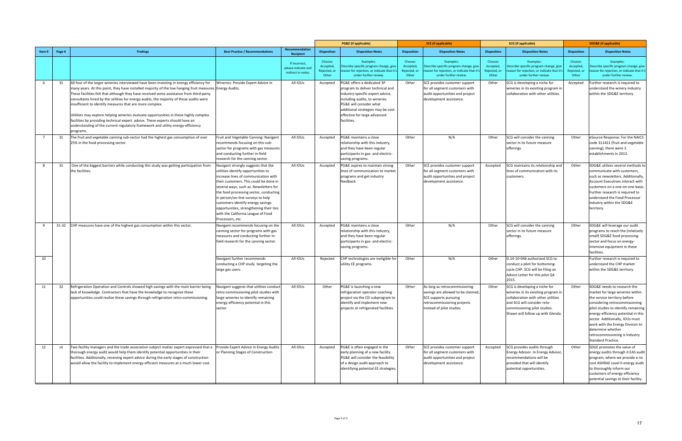|                |        |                                                                                                                                                                                                                                                                                                                                                                                                                                                                                                                                                                                                                                                                                                                                   |                                                                                                                                                                                                                                                                                                                                                                                                                                 |                                                            |                                               | <b>PG&amp;E</b> (if applicable)                                                                                                                                                                                                                      | <b>SCE</b> (if applicable)<br><b>SCG</b> (if applicable) |                                                                                                                                                         |                                               | <b>SDG&amp;E</b> (if applicable)                                                                                                                                                                                |                                               |                                                                                                                                                                                                                                                                                                                                                                     |
|----------------|--------|-----------------------------------------------------------------------------------------------------------------------------------------------------------------------------------------------------------------------------------------------------------------------------------------------------------------------------------------------------------------------------------------------------------------------------------------------------------------------------------------------------------------------------------------------------------------------------------------------------------------------------------------------------------------------------------------------------------------------------------|---------------------------------------------------------------------------------------------------------------------------------------------------------------------------------------------------------------------------------------------------------------------------------------------------------------------------------------------------------------------------------------------------------------------------------|------------------------------------------------------------|-----------------------------------------------|------------------------------------------------------------------------------------------------------------------------------------------------------------------------------------------------------------------------------------------------------|----------------------------------------------------------|---------------------------------------------------------------------------------------------------------------------------------------------------------|-----------------------------------------------|-----------------------------------------------------------------------------------------------------------------------------------------------------------------------------------------------------------------|-----------------------------------------------|---------------------------------------------------------------------------------------------------------------------------------------------------------------------------------------------------------------------------------------------------------------------------------------------------------------------------------------------------------------------|
| Item#          | Page # | <b>Findings</b>                                                                                                                                                                                                                                                                                                                                                                                                                                                                                                                                                                                                                                                                                                                   | <b>Best Practice / Recommendations</b>                                                                                                                                                                                                                                                                                                                                                                                          | Recommendation<br>Recipient                                | <b>Disposition</b>                            | <b>Disposition Notes</b>                                                                                                                                                                                                                             | <b>Disposition</b>                                       | <b>Disposition Notes</b>                                                                                                                                | <b>Disposition</b>                            | <b>Disposition Notes</b>                                                                                                                                                                                        | <b>Disposition</b>                            | <b>Disposition Notes</b>                                                                                                                                                                                                                                                                                                                                            |
|                |        |                                                                                                                                                                                                                                                                                                                                                                                                                                                                                                                                                                                                                                                                                                                                   |                                                                                                                                                                                                                                                                                                                                                                                                                                 | If incorrect,<br>please indicate and<br>redirect in notes. | Choose:<br>Accepted,<br>Rejected, or<br>Other | Examples:<br>Describe specific program change, give<br>eason for rejection, or indicate that it'<br>under further review.                                                                                                                            | Choose:<br>Accepted,<br>Rejected, or<br>Other            | Examples:<br>Describe specific program change, give<br>eason for rejection, or indicate that it<br>under further review.                                | Choose:<br>Accepted,<br>Rejected, or<br>Other | Examples:<br>Describe specific program change, give<br>eason for rejection, or indicate that it'<br>under further review.                                                                                       | Choose:<br>Accepted,<br>Rejected, oı<br>Other | Examples:<br>Describe specific program change, give<br>reason for rejection, or indicate that it's<br>under further review.                                                                                                                                                                                                                                         |
| 6              | 31     | All four of the larger wineries interviewed have been investing in energy efficiency for<br>many years. At this point, they have installed majority of the low hanging fruit measures. Energy Audits.<br>These facilities felt that although they have received some assistance from third-party<br>consultants hired by the utilities for energy audits, the majority of those audits were<br>insufficient to identify measures that are more complex.<br>Utilities may explore helping wineries evaluate opportunities in these highly complex<br>facilities by providing technical expert advice. These experts should have an<br>understanding of the current regulatory framework and utility energy-efficiency<br>programs. | Wineries: Provide Expert Advice in                                                                                                                                                                                                                                                                                                                                                                                              | All IOUs                                                   | Accepted                                      | PG&E offers a dedicated 3P<br>program to deliver technical and<br>industry-specific expert advice,<br>including audits, to wineries.<br>PG&E will consider what<br>additional strategies may be cost-<br>effective for large advanced<br>facilities. | Other                                                    | SCE provides customer support<br>for all segment customers with<br>audit opportunities and project<br>development assistance.                           | Other                                         | SCG is developing a niche for<br>wineries in its exisiting program in<br>collaboration with other utilities.                                                                                                    | Accepted                                      | Further research is required to<br>understand the winery industry<br>within the SDG&E territory.                                                                                                                                                                                                                                                                    |
| $\overline{7}$ | 31     | The fruit and vegetable canning sub-sector had the highest gas consumption of over<br>25% in the food processing sector.                                                                                                                                                                                                                                                                                                                                                                                                                                                                                                                                                                                                          | Fruit and Vegetable Canning: Navigant<br>recommends focusing on this sub-<br>sector for programs with gas measures<br>and conducting further in-field<br>research for the canning sector.                                                                                                                                                                                                                                       | All IOUs                                                   | Accepted                                      | PG&E maintains a close<br>relationship with this industry,<br>and they have been regular<br>participants in gas- and electric-<br>saving programs.                                                                                                   | Other                                                    | N/A                                                                                                                                                     | Other                                         | SCG will consider the canning<br>sector in its future measure<br>offerings.                                                                                                                                     | Other                                         | eSource Response: For the NAICS<br>code 311421 (fruit and vegetable<br>canning), there were 3<br>establishments in 2013.                                                                                                                                                                                                                                            |
| 8              | 31     | One of the biggest barriers while conducting this study was getting participation from<br>the facilities.                                                                                                                                                                                                                                                                                                                                                                                                                                                                                                                                                                                                                         | Navigant strongly suggests that the<br>utilities identify opportunities to<br>increase lines of communication with<br>their customers. This could be done in<br>several ways, such as. Newsletters for<br>the food processing sector, conducting<br>in person/on-line surveys to help<br>customers identify energy savings<br>opportunities, strengthening their ties<br>with the California League of Food<br>Processors, etc. | All IOUs                                                   | Accepted                                      | PG&E aspires to maintain strong<br>lines of communication to market<br>programs and get industry<br>feedback.                                                                                                                                        | Other                                                    | SCE provides customer support<br>for all segment customers with<br>audit opportunities and project<br>development assistance.                           | Accepted                                      | SCG maintains its relationship and<br>lines of communication with its<br>customers.                                                                                                                             | Other                                         | SDG&E utilizes several methods to<br>communicate with customers,<br>such as newsletters. Additionally,<br>Account Executives interact with<br>customers on a one-on-one basis.<br>Further research is required to<br>understand the Food Processor<br>industry within the SDG&E<br>territory.                                                                       |
| 9              |        | 31-32 CHP measures have one of the highest gas consumption within this sector.                                                                                                                                                                                                                                                                                                                                                                                                                                                                                                                                                                                                                                                    | Navigant recommends focusing on the<br>canning sector for programs with gas<br>measures and conducting further in-<br>field research for the canning sector.                                                                                                                                                                                                                                                                    | All IOUs                                                   | Accepted                                      | PG&E maintains a close<br>relationship with this industry,<br>and they have been regular<br>participants in gas- and electric-<br>saving programs.                                                                                                   | Other                                                    | N/A                                                                                                                                                     | Other                                         | SCG will consider the canning<br>sector in its future measure<br>offerings.                                                                                                                                     | Other                                         | SDG&E will leverage our audit<br>programs to reach the (relatively<br>small) SDG&E food processing<br>sector and focus on energy-<br>intensive equipment in these<br>facilities.                                                                                                                                                                                    |
| 10             |        |                                                                                                                                                                                                                                                                                                                                                                                                                                                                                                                                                                                                                                                                                                                                   | Navigant further recommends<br>conducting a CHP study targeting the<br>large gas users.                                                                                                                                                                                                                                                                                                                                         | All IOUs                                                   | Rejected                                      | CHP technologies are ineligible for<br>utility EE programs.                                                                                                                                                                                          | Other                                                    | N/A                                                                                                                                                     | Other                                         | D.14-10-046 authorized SCG to<br>conduct a pilot for bottoming-<br>cycle CHP. SCG will be filing an<br>Advice Letter for this pilot Q4<br>2015.                                                                 |                                               | Further research is required to<br>understand the CHP market<br>within the SDG&E territory.                                                                                                                                                                                                                                                                         |
| 11             | 32     | Refrigeration Operation and Controls showed high savings with the main barrier being<br>lack of knowledge. Contractors that have the knowledge to recognize these<br>opportunities could realize these savings through refrigeration retro-commissioning.                                                                                                                                                                                                                                                                                                                                                                                                                                                                         | Navigant suggests that utilities conduct<br>retro-commissioning pilot studies with<br>large wineries to identify remaining<br>energy efficiency potential in this<br>sector.                                                                                                                                                                                                                                                    | All IOUs                                                   | Other                                         | PG&E is launching a new<br>refrigeration operator coaching<br>project via the CEI subprogram to<br>identify and implement new<br>projects at refrigerated facilities.                                                                                | Other                                                    | As long as retrocommissioning<br>savings are allowed to be claimed,<br>SCE supports pursuing<br>retrocommissioning projects<br>instead of pilot studies | Other                                         | SCG is developing a niche for<br>wineries in its exisiting program in<br>collaboration with other utilities<br>and SCG will consider reto-<br>commissioning pilot studies.<br>Shawn will follow up with Glenda. | Other                                         | SDG&E needs to research the<br>market for large wineries within<br>the service territory before<br>considering retrocommissioning<br>pilot studies to identify remaining<br>energy efficiency potential in this<br>sector. Additionally, IOUs must<br>work with the Energy Division to<br>determine whether<br>retrocommissioning is Industry<br>Standard Practice. |
| 12             | vii    | Two facility managers and the trade association subject matter expert expressed that a<br>thorough energy audit would help them identify potential opportunities in their<br>facilities. Additionally, receiving expert advice during the early stages of construction<br>would allow the facility to implement energy efficient measures at a much lower cost.                                                                                                                                                                                                                                                                                                                                                                   | Provide Expert Advice in Energy Audits<br>or Planning Stages of Construction                                                                                                                                                                                                                                                                                                                                                    | All IOUs                                                   | Accepted                                      | PG&E is often engaged in the<br>early planning of a new facility.<br>PG&E will consider the feasibility<br>of a design audit approach to<br>identifying potential EE strategies.                                                                     | Other                                                    | SCE provides customer support<br>for all segment customers with<br>audit opportunities and project<br>development assistance.                           | Accepted                                      | SCG provides audits through<br>Energy Advisor. In Energy Advisor,<br>recommendations will be<br>provided that will identify<br>potential opportunities.                                                         | Other                                         | SDGE promotes the value of<br>energy audits through it EAS audit<br>program, where we provide a no<br>cost ASHRAE Level II energy audit<br>to thoroughly inform our<br>customers of energy efficiency<br>potential savings at their facility.                                                                                                                       |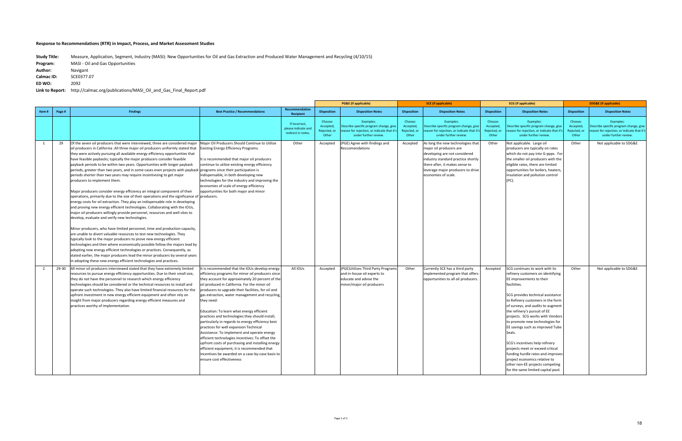**Study Title:**  Measure, Application, Segment, Industry (MASI): New Opportunities for Oil and Gas Extraction and Produced Water Management and Recycling (4/10/15)

|                |        |                                                                                                                                                                                                                                                                                                                                                                                                                                                                                                                                                                                                                                                                                                                                                                                                                                                                                                                                                                                                                                                                                                                                                                                                                                                                                                                                                                                                                                                                                                                                                                                                                                                                   |                                                                                                                                                                                                                                                                                                                                                                                                                                                                                                                                                                                                                                                                                                                                                                                                                     |                                                            |                                               | <b>PG&amp;E</b> (if applicable)                                                                                           |                                               | <b>SCE</b> (if applicable)                                                                                                                                                                                                        | <b>SCG</b> (if applicable)                   |                                                                                                                                                                                                                                                                                                                                                                                                                                                                                                                                                                                                          |                                               | <b>SDG&amp;E</b> (if applicable)                                                                                            |
|----------------|--------|-------------------------------------------------------------------------------------------------------------------------------------------------------------------------------------------------------------------------------------------------------------------------------------------------------------------------------------------------------------------------------------------------------------------------------------------------------------------------------------------------------------------------------------------------------------------------------------------------------------------------------------------------------------------------------------------------------------------------------------------------------------------------------------------------------------------------------------------------------------------------------------------------------------------------------------------------------------------------------------------------------------------------------------------------------------------------------------------------------------------------------------------------------------------------------------------------------------------------------------------------------------------------------------------------------------------------------------------------------------------------------------------------------------------------------------------------------------------------------------------------------------------------------------------------------------------------------------------------------------------------------------------------------------------|---------------------------------------------------------------------------------------------------------------------------------------------------------------------------------------------------------------------------------------------------------------------------------------------------------------------------------------------------------------------------------------------------------------------------------------------------------------------------------------------------------------------------------------------------------------------------------------------------------------------------------------------------------------------------------------------------------------------------------------------------------------------------------------------------------------------|------------------------------------------------------------|-----------------------------------------------|---------------------------------------------------------------------------------------------------------------------------|-----------------------------------------------|-----------------------------------------------------------------------------------------------------------------------------------------------------------------------------------------------------------------------------------|----------------------------------------------|----------------------------------------------------------------------------------------------------------------------------------------------------------------------------------------------------------------------------------------------------------------------------------------------------------------------------------------------------------------------------------------------------------------------------------------------------------------------------------------------------------------------------------------------------------------------------------------------------------|-----------------------------------------------|-----------------------------------------------------------------------------------------------------------------------------|
| Item#          | Page # | <b>Findings</b>                                                                                                                                                                                                                                                                                                                                                                                                                                                                                                                                                                                                                                                                                                                                                                                                                                                                                                                                                                                                                                                                                                                                                                                                                                                                                                                                                                                                                                                                                                                                                                                                                                                   | <b>Best Practice / Recommendations</b>                                                                                                                                                                                                                                                                                                                                                                                                                                                                                                                                                                                                                                                                                                                                                                              | Recommendation<br>Recipient                                | <b>Disposition</b>                            | <b>Disposition Notes</b>                                                                                                  | <b>Disposition</b>                            | <b>Disposition Notes</b>                                                                                                                                                                                                          | <b>Disposition</b>                           | <b>Disposition Notes</b>                                                                                                                                                                                                                                                                                                                                                                                                                                                                                                                                                                                 | <b>Disposition</b>                            | <b>Disposition Notes</b>                                                                                                    |
|                |        |                                                                                                                                                                                                                                                                                                                                                                                                                                                                                                                                                                                                                                                                                                                                                                                                                                                                                                                                                                                                                                                                                                                                                                                                                                                                                                                                                                                                                                                                                                                                                                                                                                                                   |                                                                                                                                                                                                                                                                                                                                                                                                                                                                                                                                                                                                                                                                                                                                                                                                                     | If incorrect,<br>please indicate and<br>redirect in notes. | Choose:<br>Accepted,<br>Rejected, or<br>Other | Examples:<br>Describe specific program change, give<br>eason for rejection, or indicate that it'<br>under further review. | Choose:<br>Accepted,<br>Rejected, or<br>Other | Examples:<br>Describe specific program change, give<br>eason for rejection, or indicate that it's<br>under further review.                                                                                                        | Choose:<br>Accepted<br>Rejected, or<br>Other | Examples:<br>Describe specific program change, give<br>eason for rejection, or indicate that it':<br>under further review.                                                                                                                                                                                                                                                                                                                                                                                                                                                                               | Choose:<br>Accepted,<br>Rejected, or<br>Other | Examples:<br>Describe specific program change, give<br>reason for rejection, or indicate that it's<br>under further review. |
| 1              | 29     | Of the seven oil producers that were interviewed, three are considered major<br>oil producers in California .All three major oil producers uniformly stated that<br>they were actively pursuing all available energy efficiency opportunities that<br>have feasible paybacks; typically the major producers consider feasible<br>payback periods to be within two years. Opportunities with longer payback<br>periods, greater than two years, and in some cases even projects with payback programs since their participation is<br>periods shorter than two years may require incentivizing to get major<br>producers to implement them.<br>Major producers consider energy efficiency an integral component of their<br>operations, primarily due to the size of their operations and the significance of<br>energy costs for oil extraction. They play an indispensable role in developing<br>and proving new energy efficient technologies. Collaborating with the IOUs,<br>major oil producers willingly provide personnel, resources and well sites to<br>develop, evaluate and verify new technologies.<br>Minor producers, who have limited personnel, time and production capacity,<br>are unable to divert valuable resources to test new technologies. They<br>typically look to the major producers to prove new energy efficient<br>technologies and then where economically possible follow the majors lead by<br>adopting new energy efficient technologies or practices. Consequently, as<br>stated earlier, the major producers lead the minor producers by several years<br>in adopting these new energy efficient technologies and practices. | Major Oil Producers Should Continue to Utilize<br><b>Existing Energy Efficiency Programs.</b><br>t is recommended that major oil producers<br>continue to utilize existing energy efficiency<br>indispensable, in both developing new<br>technologies for the industry and improving the<br>economies of scale of energy efficiency<br>opportunities for both major and minor<br>producers.                                                                                                                                                                                                                                                                                                                                                                                                                         | Other                                                      | Accepted                                      | (PGE) Agree with findings and<br>Reccomendations                                                                          | Accepted                                      | As long the new technologies that<br>major oil producers are<br>developing are not considered<br>industry standard practice shortly<br>there after, it makes sense to<br>leverage major producers to drive<br>economies of scale. | Other                                        | Not applicable. Large oil<br>producers are typically on rates<br>which do not pay into G-ppps. For<br>the smaller oil producers with the<br>eligible rates, there are limited<br>opportunities for boilers, heaters,<br>insulation and pollution control<br>(PC).                                                                                                                                                                                                                                                                                                                                        | Other                                         | Not applicable to SDG&E                                                                                                     |
| $\overline{2}$ | 29-30  | All minor oil producers interviewed stated that they have extremely limited<br>resources to pursue energy efficiency opportunities. Due to their small size,<br>they do not have the personnel to research which energy efficiency<br>technologies should be considered or the technical resources to install and<br>operate such technologies. They also have limited financial resources for the<br>upfront investment in new energy efficient equipment and often rely on<br>insight from major producers regarding energy efficient measures and<br>practices worthy of implementation.                                                                                                                                                                                                                                                                                                                                                                                                                                                                                                                                                                                                                                                                                                                                                                                                                                                                                                                                                                                                                                                                       | It is recommended that the IOUs develop energy<br>fficiency programs for minor oil producers since<br>they account for approximately 20 percent of the<br>bil produced in California. For the minor oil<br>producers to upgrade their facilities, for oil and<br>gas extraction, water management and recycling,<br>they need:<br>Education: To learn what energy efficient<br>practices and technologies they should install,<br>particularly in regards to energy efficiency best<br>practices for well expansion Technical<br>Assistance: To implement and operate energy<br>fficient technologies Incentives: To offset the<br>upfront costs of purchasing and installing energy<br>efficient equipment; it is recommended that<br>ncentives be awarded on a case-by-case basis to<br>ensure cost effectiveness | All IOUs                                                   | Accepted                                      | (PGE) Utilizes Third Party Program<br>and in-house oil experts to<br>educate and advise the<br>minor/major oil producers  | Other                                         | Currently SCE has a third party<br>implemented program that offers<br>opportunities to all oil producers.                                                                                                                         | Accepted                                     | SCG continues to work with its<br>refinery customers on identifying<br>EE improvements to their<br>faciliities.<br>SCG provides technical assistance<br>to Refinery customers in the form<br>of surveys, and audits to augment<br>the refinery's pursuit of EE<br>projects. SCG works with Vendors<br>to promote new technologies for<br>EE savings such as improved Tube<br>Seals.<br>SCG's incentives help refinery<br>projects meet or exceed critical<br>funding hurdle rates and improves<br>project economics relative to<br>other non-EE projects competing<br>for the same limited capital pool. | Other                                         | Not applicable to SDG&E                                                                                                     |

| Program:   | MASI - Oil and Gas Opportunities |
|------------|----------------------------------|
| Author:    | Navigant                         |
| Calmac ID: | SCE0377.07                       |
| ED WO:     | 2092                             |

Link to Report: http://calmac.org/publications/MASI\_Oil\_and\_Gas\_Final\_Report.pdf